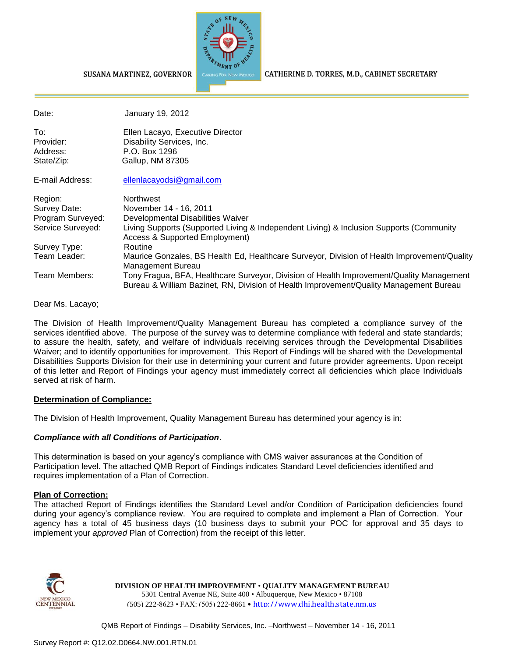

CATHERINE D. TORRES, M.D., CABINET SECRETARY

#### SUSANA MARTINEZ, GOVERNOR

| Date:             | January 19, 2012                                                                                                                                                                   |
|-------------------|------------------------------------------------------------------------------------------------------------------------------------------------------------------------------------|
| To:               | Ellen Lacayo, Executive Director                                                                                                                                                   |
| Provider:         | Disability Services, Inc.                                                                                                                                                          |
| Address:          | P.O. Box 1296                                                                                                                                                                      |
| State/Zip:        | Gallup, NM 87305                                                                                                                                                                   |
| E-mail Address:   | ellenlacayodsi@gmail.com                                                                                                                                                           |
| Region:           | <b>Northwest</b>                                                                                                                                                                   |
| Survey Date:      | November 14 - 16, 2011                                                                                                                                                             |
| Program Surveyed: | Developmental Disabilities Waiver                                                                                                                                                  |
| Service Surveyed: | Living Supports (Supported Living & Independent Living) & Inclusion Supports (Community<br>Access & Supported Employment)                                                          |
| Survey Type:      | Routine                                                                                                                                                                            |
| Team Leader:      | Maurice Gonzales, BS Health Ed, Healthcare Surveyor, Division of Health Improvement/Quality<br>Management Bureau                                                                   |
| Team Members:     | Tony Fragua, BFA, Healthcare Surveyor, Division of Health Improvement/Quality Management<br>Bureau & William Bazinet, RN, Division of Health Improvement/Quality Management Bureau |

Dear Ms. Lacayo;

The Division of Health Improvement/Quality Management Bureau has completed a compliance survey of the services identified above. The purpose of the survey was to determine compliance with federal and state standards; to assure the health, safety, and welfare of individuals receiving services through the Developmental Disabilities Waiver; and to identify opportunities for improvement. This Report of Findings will be shared with the Developmental Disabilities Supports Division for their use in determining your current and future provider agreements. Upon receipt of this letter and Report of Findings your agency must immediately correct all deficiencies which place Individuals served at risk of harm.

#### **Determination of Compliance:**

The Division of Health Improvement, Quality Management Bureau has determined your agency is in:

### *Compliance with all Conditions of Participation*.

This determination is based on your agency's compliance with CMS waiver assurances at the Condition of Participation level. The attached QMB Report of Findings indicates Standard Level deficiencies identified and requires implementation of a Plan of Correction.

#### **Plan of Correction:**

The attached Report of Findings identifies the Standard Level and/or Condition of Participation deficiencies found during your agency's compliance review. You are required to complete and implement a Plan of Correction. Your agency has a total of 45 business days (10 business days to submit your POC for approval and 35 days to implement your *approved* Plan of Correction) from the receipt of this letter.



**DIVISION OF HEALTH IMPROVEMENT** • **QUALITY MANAGEMENT BUREAU** 5301 Central Avenue NE, Suite 400 • Albuquerque, New Mexico • 87108 (505) 222-8623 • FAX: (505) 222-8661 • http://www.dhi.health.state.nm.us

QMB Report of Findings – Disability Services, Inc. –Northwest – November 14 - 16, 2011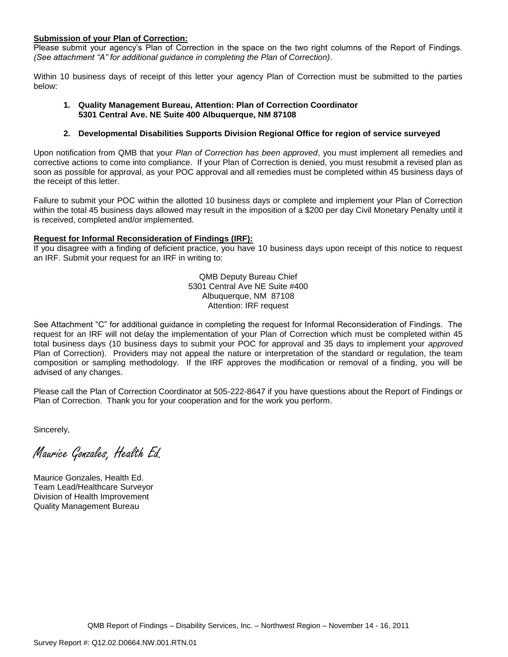#### **Submission of your Plan of Correction:**

Please submit your agency's Plan of Correction in the space on the two right columns of the Report of Findings. *(See attachment "A" for additional guidance in completing the Plan of Correction)*.

Within 10 business days of receipt of this letter your agency Plan of Correction must be submitted to the parties below:

#### **1. Quality Management Bureau, Attention: Plan of Correction Coordinator 5301 Central Ave. NE Suite 400 Albuquerque, NM 87108**

#### **2. Developmental Disabilities Supports Division Regional Office for region of service surveyed**

Upon notification from QMB that your *Plan of Correction has been approved*, you must implement all remedies and corrective actions to come into compliance. If your Plan of Correction is denied, you must resubmit a revised plan as soon as possible for approval, as your POC approval and all remedies must be completed within 45 business days of the receipt of this letter.

Failure to submit your POC within the allotted 10 business days or complete and implement your Plan of Correction within the total 45 business days allowed may result in the imposition of a \$200 per day Civil Monetary Penalty until it is received, completed and/or implemented.

#### **Request for Informal Reconsideration of Findings (IRF):**

If you disagree with a finding of deficient practice, you have 10 business days upon receipt of this notice to request an IRF. Submit your request for an IRF in writing to:

> QMB Deputy Bureau Chief 5301 Central Ave NE Suite #400 Albuquerque, NM 87108 Attention: IRF request

See Attachment "C" for additional guidance in completing the request for Informal Reconsideration of Findings. The request for an IRF will not delay the implementation of your Plan of Correction which must be completed within 45 total business days (10 business days to submit your POC for approval and 35 days to implement your *approved* Plan of Correction). Providers may not appeal the nature or interpretation of the standard or regulation, the team composition or sampling methodology. If the IRF approves the modification or removal of a finding, you will be advised of any changes.

Please call the Plan of Correction Coordinator at 505-222-8647 if you have questions about the Report of Findings or Plan of Correction. Thank you for your cooperation and for the work you perform.

Sincerely,

Maurice Gonzales, Health Ed.

Maurice Gonzales, Health Ed. Team Lead/Healthcare Surveyor Division of Health Improvement Quality Management Bureau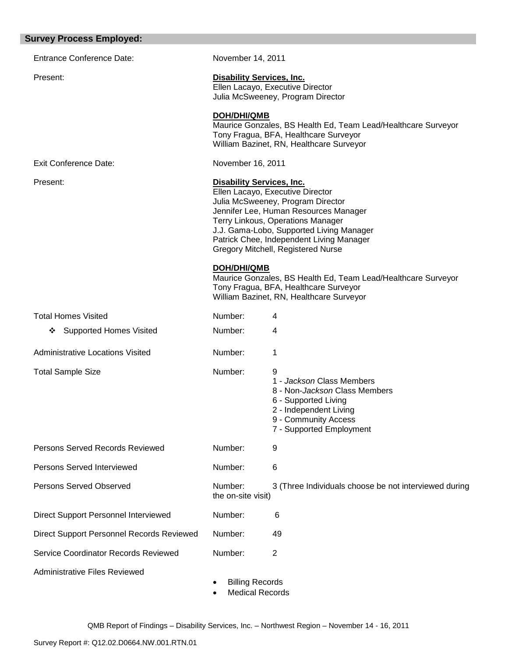| <b>Survey Process Employed:</b>             |                                                                                                                                                                                                                                                                                                                       |                                                                                                                                                                       |
|---------------------------------------------|-----------------------------------------------------------------------------------------------------------------------------------------------------------------------------------------------------------------------------------------------------------------------------------------------------------------------|-----------------------------------------------------------------------------------------------------------------------------------------------------------------------|
| <b>Entrance Conference Date:</b>            | November 14, 2011                                                                                                                                                                                                                                                                                                     |                                                                                                                                                                       |
| Present:                                    | <b>Disability Services, Inc.</b>                                                                                                                                                                                                                                                                                      | Ellen Lacayo, Executive Director<br>Julia McSweeney, Program Director                                                                                                 |
|                                             | <b>DOH/DHI/QMB</b>                                                                                                                                                                                                                                                                                                    | Maurice Gonzales, BS Health Ed, Team Lead/Healthcare Surveyor<br>Tony Fragua, BFA, Healthcare Surveyor<br>William Bazinet, RN, Healthcare Surveyor                    |
| <b>Exit Conference Date:</b>                | November 16, 2011                                                                                                                                                                                                                                                                                                     |                                                                                                                                                                       |
| Present:                                    | <b>Disability Services, Inc.</b><br>Ellen Lacayo, Executive Director<br>Julia McSweeney, Program Director<br>Jennifer Lee, Human Resources Manager<br>Terry Linkous, Operations Manager<br>J.J. Gama-Lobo, Supported Living Manager<br>Patrick Chee, Independent Living Manager<br>Gregory Mitchell, Registered Nurse |                                                                                                                                                                       |
|                                             | <b>DOH/DHI/QMB</b>                                                                                                                                                                                                                                                                                                    | Maurice Gonzales, BS Health Ed, Team Lead/Healthcare Surveyor<br>Tony Fragua, BFA, Healthcare Surveyor<br>William Bazinet, RN, Healthcare Surveyor                    |
| <b>Total Homes Visited</b>                  | Number:                                                                                                                                                                                                                                                                                                               | 4                                                                                                                                                                     |
| <b>Supported Homes Visited</b><br>❖         | Number:                                                                                                                                                                                                                                                                                                               | 4                                                                                                                                                                     |
| <b>Administrative Locations Visited</b>     | Number:                                                                                                                                                                                                                                                                                                               | 1                                                                                                                                                                     |
| <b>Total Sample Size</b>                    | Number:                                                                                                                                                                                                                                                                                                               | 9<br>1 - Jackson Class Members<br>8 - Non-Jackson Class Members<br>6 - Supported Living<br>2 - Independent Living<br>9 - Community Access<br>7 - Supported Employment |
| Persons Served Records Reviewed             | Number:                                                                                                                                                                                                                                                                                                               | 9                                                                                                                                                                     |
| Persons Served Interviewed                  | Number:                                                                                                                                                                                                                                                                                                               | 6                                                                                                                                                                     |
| <b>Persons Served Observed</b>              | Number:<br>the on-site visit)                                                                                                                                                                                                                                                                                         | 3 (Three Individuals choose be not interviewed during                                                                                                                 |
| <b>Direct Support Personnel Interviewed</b> | Number:                                                                                                                                                                                                                                                                                                               | 6                                                                                                                                                                     |
| Direct Support Personnel Records Reviewed   | Number:                                                                                                                                                                                                                                                                                                               | 49                                                                                                                                                                    |
| Service Coordinator Records Reviewed        | Number:                                                                                                                                                                                                                                                                                                               | $\overline{2}$                                                                                                                                                        |
| <b>Administrative Files Reviewed</b>        | <b>Billing Records</b><br><b>Medical Records</b>                                                                                                                                                                                                                                                                      |                                                                                                                                                                       |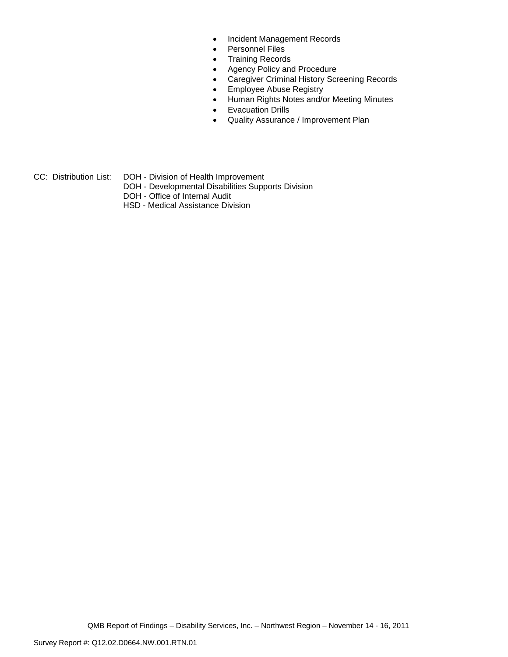- Incident Management Records
- Personnel Files
- Training Records
- Agency Policy and Procedure
- Caregiver Criminal History Screening Records
- **•** Employee Abuse Registry
- Human Rights Notes and/or Meeting Minutes
- **•** Evacuation Drills
- Quality Assurance / Improvement Plan
- CC: Distribution List: DOH Division of Health Improvement
	- DOH Developmental Disabilities Supports Division
	- DOH Office of Internal Audit
	- HSD Medical Assistance Division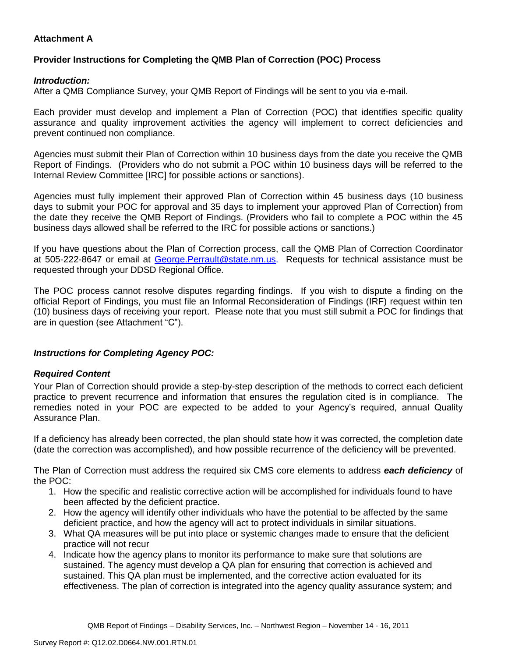## **Attachment A**

## **Provider Instructions for Completing the QMB Plan of Correction (POC) Process**

### *Introduction:*

After a QMB Compliance Survey, your QMB Report of Findings will be sent to you via e-mail.

Each provider must develop and implement a Plan of Correction (POC) that identifies specific quality assurance and quality improvement activities the agency will implement to correct deficiencies and prevent continued non compliance.

Agencies must submit their Plan of Correction within 10 business days from the date you receive the QMB Report of Findings. (Providers who do not submit a POC within 10 business days will be referred to the Internal Review Committee [IRC] for possible actions or sanctions).

Agencies must fully implement their approved Plan of Correction within 45 business days (10 business days to submit your POC for approval and 35 days to implement your approved Plan of Correction) from the date they receive the QMB Report of Findings. (Providers who fail to complete a POC within the 45 business days allowed shall be referred to the IRC for possible actions or sanctions.)

If you have questions about the Plan of Correction process, call the QMB Plan of Correction Coordinator at 505-222-8647 or email at George. Perrault@state.nm.us. Requests for technical assistance must be requested through your DDSD Regional Office.

The POC process cannot resolve disputes regarding findings. If you wish to dispute a finding on the official Report of Findings, you must file an Informal Reconsideration of Findings (IRF) request within ten (10) business days of receiving your report. Please note that you must still submit a POC for findings that are in question (see Attachment "C").

## *Instructions for Completing Agency POC:*

## *Required Content*

Your Plan of Correction should provide a step-by-step description of the methods to correct each deficient practice to prevent recurrence and information that ensures the regulation cited is in compliance. The remedies noted in your POC are expected to be added to your Agency's required, annual Quality Assurance Plan.

If a deficiency has already been corrected, the plan should state how it was corrected, the completion date (date the correction was accomplished), and how possible recurrence of the deficiency will be prevented.

The Plan of Correction must address the required six CMS core elements to address *each deficiency* of the POC:

- 1. How the specific and realistic corrective action will be accomplished for individuals found to have been affected by the deficient practice.
- 2. How the agency will identify other individuals who have the potential to be affected by the same deficient practice, and how the agency will act to protect individuals in similar situations.
- 3. What QA measures will be put into place or systemic changes made to ensure that the deficient practice will not recur
- 4. Indicate how the agency plans to monitor its performance to make sure that solutions are sustained. The agency must develop a QA plan for ensuring that correction is achieved and sustained. This QA plan must be implemented, and the corrective action evaluated for its effectiveness. The plan of correction is integrated into the agency quality assurance system; and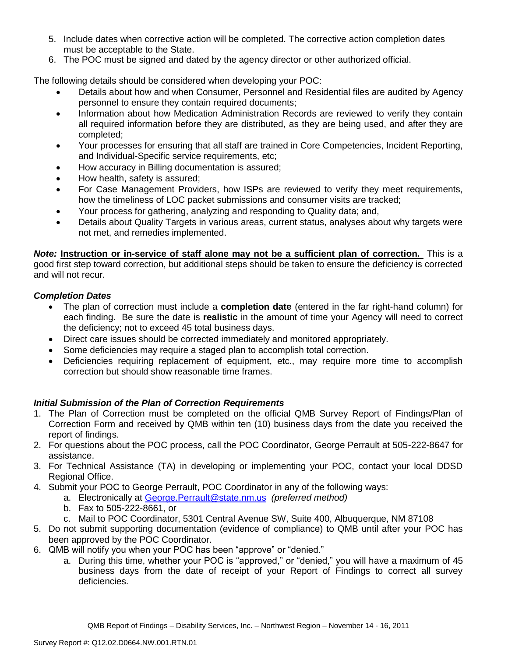- 5. Include dates when corrective action will be completed. The corrective action completion dates must be acceptable to the State.
- 6. The POC must be signed and dated by the agency director or other authorized official.

The following details should be considered when developing your POC:

- Details about how and when Consumer, Personnel and Residential files are audited by Agency personnel to ensure they contain required documents;
- Information about how Medication Administration Records are reviewed to verify they contain all required information before they are distributed, as they are being used, and after they are completed;
- Your processes for ensuring that all staff are trained in Core Competencies, Incident Reporting, and Individual-Specific service requirements, etc;
- How accuracy in Billing documentation is assured;
- How health, safety is assured;
- For Case Management Providers, how ISPs are reviewed to verify they meet requirements, how the timeliness of LOC packet submissions and consumer visits are tracked;
- Your process for gathering, analyzing and responding to Quality data; and,
- Details about Quality Targets in various areas, current status, analyses about why targets were not met, and remedies implemented.

*Note:* **Instruction or in-service of staff alone may not be a sufficient plan of correction.** This is a good first step toward correction, but additional steps should be taken to ensure the deficiency is corrected and will not recur.

## *Completion Dates*

- The plan of correction must include a **completion date** (entered in the far right-hand column) for each finding. Be sure the date is **realistic** in the amount of time your Agency will need to correct the deficiency; not to exceed 45 total business days.
- Direct care issues should be corrected immediately and monitored appropriately.
- Some deficiencies may require a staged plan to accomplish total correction.
- Deficiencies requiring replacement of equipment, etc., may require more time to accomplish correction but should show reasonable time frames.

# *Initial Submission of the Plan of Correction Requirements*

- 1. The Plan of Correction must be completed on the official QMB Survey Report of Findings/Plan of Correction Form and received by QMB within ten (10) business days from the date you received the report of findings.
- 2. For questions about the POC process, call the POC Coordinator, George Perrault at 505-222-8647 for assistance.
- 3. For Technical Assistance (TA) in developing or implementing your POC, contact your local DDSD Regional Office.
- 4. Submit your POC to George Perrault, POC Coordinator in any of the following ways:
	- a. Electronically at [George.Perrault@state.nm.us](mailto:George.Perrault@state.nm.us) *(preferred method)*
	- b. Fax to 505-222-8661, or
	- c. Mail to POC Coordinator, 5301 Central Avenue SW, Suite 400, Albuquerque, NM 87108
- 5. Do not submit supporting documentation (evidence of compliance) to QMB until after your POC has been approved by the POC Coordinator.
- 6. QMB will notify you when your POC has been "approve" or "denied."
	- a. During this time, whether your POC is "approved," or "denied," you will have a maximum of 45 business days from the date of receipt of your Report of Findings to correct all survey deficiencies.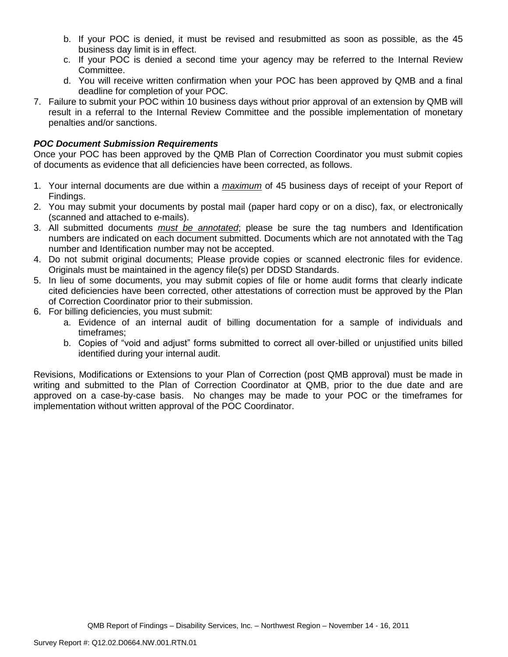- b. If your POC is denied, it must be revised and resubmitted as soon as possible, as the 45 business day limit is in effect.
- c. If your POC is denied a second time your agency may be referred to the Internal Review Committee.
- d. You will receive written confirmation when your POC has been approved by QMB and a final deadline for completion of your POC.
- 7. Failure to submit your POC within 10 business days without prior approval of an extension by QMB will result in a referral to the Internal Review Committee and the possible implementation of monetary penalties and/or sanctions.

## *POC Document Submission Requirements*

Once your POC has been approved by the QMB Plan of Correction Coordinator you must submit copies of documents as evidence that all deficiencies have been corrected, as follows.

- 1. Your internal documents are due within a *maximum* of 45 business days of receipt of your Report of Findings.
- 2. You may submit your documents by postal mail (paper hard copy or on a disc), fax, or electronically (scanned and attached to e-mails).
- 3. All submitted documents *must be annotated*; please be sure the tag numbers and Identification numbers are indicated on each document submitted. Documents which are not annotated with the Tag number and Identification number may not be accepted.
- 4. Do not submit original documents; Please provide copies or scanned electronic files for evidence. Originals must be maintained in the agency file(s) per DDSD Standards.
- 5. In lieu of some documents, you may submit copies of file or home audit forms that clearly indicate cited deficiencies have been corrected, other attestations of correction must be approved by the Plan of Correction Coordinator prior to their submission.
- 6. For billing deficiencies, you must submit:
	- a. Evidence of an internal audit of billing documentation for a sample of individuals and timeframes;
	- b. Copies of "void and adjust" forms submitted to correct all over-billed or unjustified units billed identified during your internal audit.

Revisions, Modifications or Extensions to your Plan of Correction (post QMB approval) must be made in writing and submitted to the Plan of Correction Coordinator at QMB, prior to the due date and are approved on a case-by-case basis. No changes may be made to your POC or the timeframes for implementation without written approval of the POC Coordinator.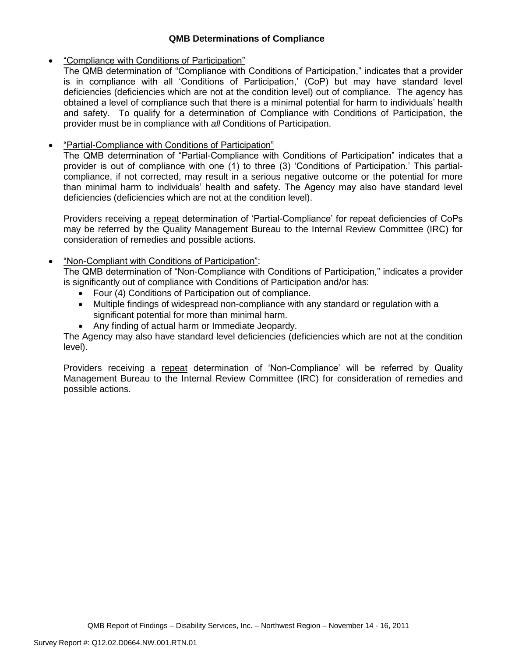## **QMB Determinations of Compliance**

## "Compliance with Conditions of Participation"

The QMB determination of "Compliance with Conditions of Participation," indicates that a provider is in compliance with all 'Conditions of Participation,' (CoP) but may have standard level deficiencies (deficiencies which are not at the condition level) out of compliance. The agency has obtained a level of compliance such that there is a minimal potential for harm to individuals' health and safety. To qualify for a determination of Compliance with Conditions of Participation, the provider must be in compliance with *all* Conditions of Participation.

# "Partial-Compliance with Conditions of Participation"

The QMB determination of "Partial-Compliance with Conditions of Participation" indicates that a provider is out of compliance with one (1) to three (3) 'Conditions of Participation.' This partialcompliance, if not corrected, may result in a serious negative outcome or the potential for more than minimal harm to individuals' health and safety. The Agency may also have standard level deficiencies (deficiencies which are not at the condition level).

Providers receiving a repeat determination of 'Partial-Compliance' for repeat deficiencies of CoPs may be referred by the Quality Management Bureau to the Internal Review Committee (IRC) for consideration of remedies and possible actions.

## "Non-Compliant with Conditions of Participation":

The QMB determination of "Non-Compliance with Conditions of Participation," indicates a provider is significantly out of compliance with Conditions of Participation and/or has:

- Four (4) Conditions of Participation out of compliance.
- Multiple findings of widespread non-compliance with any standard or regulation with a significant potential for more than minimal harm.
- Any finding of actual harm or Immediate Jeopardy.

The Agency may also have standard level deficiencies (deficiencies which are not at the condition level).

Providers receiving a repeat determination of 'Non-Compliance' will be referred by Quality Management Bureau to the Internal Review Committee (IRC) for consideration of remedies and possible actions.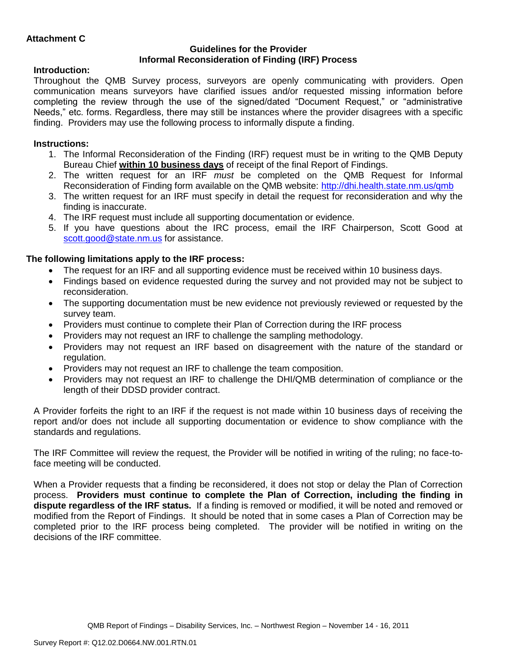### **Guidelines for the Provider Informal Reconsideration of Finding (IRF) Process**

## **Introduction:**

Throughout the QMB Survey process, surveyors are openly communicating with providers. Open communication means surveyors have clarified issues and/or requested missing information before completing the review through the use of the signed/dated "Document Request," or "administrative Needs," etc. forms. Regardless, there may still be instances where the provider disagrees with a specific finding. Providers may use the following process to informally dispute a finding.

# **Instructions:**

- 1. The Informal Reconsideration of the Finding (IRF) request must be in writing to the QMB Deputy Bureau Chief **within 10 business days** of receipt of the final Report of Findings.
- 2. The written request for an IRF *must* be completed on the QMB Request for Informal Reconsideration of Finding form available on the QMB website:<http://dhi.health.state.nm.us/qmb>
- 3. The written request for an IRF must specify in detail the request for reconsideration and why the finding is inaccurate.
- 4. The IRF request must include all supporting documentation or evidence.
- 5. If you have questions about the IRC process, email the IRF Chairperson, Scott Good at [scott.good@state.nm.us](mailto:scott.good@state.nm.us) for assistance.

## **The following limitations apply to the IRF process:**

- The request for an IRF and all supporting evidence must be received within 10 business days.
- Findings based on evidence requested during the survey and not provided may not be subject to reconsideration.
- The supporting documentation must be new evidence not previously reviewed or requested by the survey team.
- Providers must continue to complete their Plan of Correction during the IRF process
- Providers may not request an IRF to challenge the sampling methodology.
- Providers may not request an IRF based on disagreement with the nature of the standard or regulation.
- Providers may not request an IRF to challenge the team composition.
- Providers may not request an IRF to challenge the DHI/QMB determination of compliance or the length of their DDSD provider contract.

A Provider forfeits the right to an IRF if the request is not made within 10 business days of receiving the report and/or does not include all supporting documentation or evidence to show compliance with the standards and regulations.

The IRF Committee will review the request, the Provider will be notified in writing of the ruling; no face-toface meeting will be conducted.

When a Provider requests that a finding be reconsidered, it does not stop or delay the Plan of Correction process. **Providers must continue to complete the Plan of Correction, including the finding in dispute regardless of the IRF status.** If a finding is removed or modified, it will be noted and removed or modified from the Report of Findings. It should be noted that in some cases a Plan of Correction may be completed prior to the IRF process being completed. The provider will be notified in writing on the decisions of the IRF committee.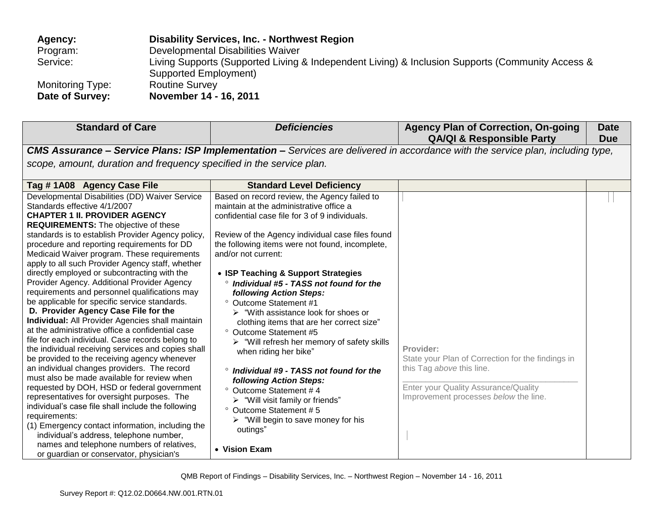| Agency:          | <b>Disability Services, Inc. - Northwest Region</b>                                                                       |
|------------------|---------------------------------------------------------------------------------------------------------------------------|
| Program:         | Developmental Disabilities Waiver                                                                                         |
| Service:         | Living Supports (Supported Living & Independent Living) & Inclusion Supports (Community Access &<br>Supported Employment) |
| Monitoring Type: | <b>Routine Survey</b>                                                                                                     |
| Date of Survey:  | November 14 - 16, 2011                                                                                                    |

| <b>Standard of Care</b>                                                                                                                                                                                                                                                                                                                                                                                                                                                                                                                                                                                                                                                                                                                                                                                                                                                                                                                                                                                                                                                                                                                                                                                                                                                                                                                                  | <b>Deficiencies</b>                                                                                                                                                                                                                                                                                                                                                                                                                                                                                                                                                                                                                                                                                                                                                                                                                                                                                                                             | <b>Agency Plan of Correction, On-going</b><br><b>QA/QI &amp; Responsible Party</b>                                                                                           | <b>Date</b><br><b>Due</b> |
|----------------------------------------------------------------------------------------------------------------------------------------------------------------------------------------------------------------------------------------------------------------------------------------------------------------------------------------------------------------------------------------------------------------------------------------------------------------------------------------------------------------------------------------------------------------------------------------------------------------------------------------------------------------------------------------------------------------------------------------------------------------------------------------------------------------------------------------------------------------------------------------------------------------------------------------------------------------------------------------------------------------------------------------------------------------------------------------------------------------------------------------------------------------------------------------------------------------------------------------------------------------------------------------------------------------------------------------------------------|-------------------------------------------------------------------------------------------------------------------------------------------------------------------------------------------------------------------------------------------------------------------------------------------------------------------------------------------------------------------------------------------------------------------------------------------------------------------------------------------------------------------------------------------------------------------------------------------------------------------------------------------------------------------------------------------------------------------------------------------------------------------------------------------------------------------------------------------------------------------------------------------------------------------------------------------------|------------------------------------------------------------------------------------------------------------------------------------------------------------------------------|---------------------------|
|                                                                                                                                                                                                                                                                                                                                                                                                                                                                                                                                                                                                                                                                                                                                                                                                                                                                                                                                                                                                                                                                                                                                                                                                                                                                                                                                                          |                                                                                                                                                                                                                                                                                                                                                                                                                                                                                                                                                                                                                                                                                                                                                                                                                                                                                                                                                 | <b>CMS Assurance - Service Plans: ISP Implementation -</b> Services are delivered in accordance with the service plan, including type,                                       |                           |
| scope, amount, duration and frequency specified in the service plan.                                                                                                                                                                                                                                                                                                                                                                                                                                                                                                                                                                                                                                                                                                                                                                                                                                                                                                                                                                                                                                                                                                                                                                                                                                                                                     |                                                                                                                                                                                                                                                                                                                                                                                                                                                                                                                                                                                                                                                                                                                                                                                                                                                                                                                                                 |                                                                                                                                                                              |                           |
| Tag #1A08 Agency Case File                                                                                                                                                                                                                                                                                                                                                                                                                                                                                                                                                                                                                                                                                                                                                                                                                                                                                                                                                                                                                                                                                                                                                                                                                                                                                                                               | <b>Standard Level Deficiency</b>                                                                                                                                                                                                                                                                                                                                                                                                                                                                                                                                                                                                                                                                                                                                                                                                                                                                                                                |                                                                                                                                                                              |                           |
| Developmental Disabilities (DD) Waiver Service<br>Standards effective 4/1/2007<br><b>CHAPTER 1 II. PROVIDER AGENCY</b><br><b>REQUIREMENTS:</b> The objective of these<br>standards is to establish Provider Agency policy,<br>procedure and reporting requirements for DD<br>Medicaid Waiver program. These requirements<br>apply to all such Provider Agency staff, whether<br>directly employed or subcontracting with the<br>Provider Agency. Additional Provider Agency<br>requirements and personnel qualifications may<br>be applicable for specific service standards.<br>D. Provider Agency Case File for the<br><b>Individual:</b> All Provider Agencies shall maintain<br>at the administrative office a confidential case<br>file for each individual. Case records belong to<br>the individual receiving services and copies shall<br>be provided to the receiving agency whenever<br>an individual changes providers. The record<br>must also be made available for review when<br>requested by DOH, HSD or federal government<br>representatives for oversight purposes. The<br>individual's case file shall include the following<br>requirements:<br>(1) Emergency contact information, including the<br>individual's address, telephone number,<br>names and telephone numbers of relatives,<br>or guardian or conservator, physician's | Based on record review, the Agency failed to<br>maintain at the administrative office a<br>confidential case file for 3 of 9 individuals.<br>Review of the Agency individual case files found<br>the following items were not found, incomplete,<br>and/or not current:<br>• ISP Teaching & Support Strategies<br><sup>o</sup> Individual #5 - TASS not found for the<br>following Action Steps:<br>° Outcome Statement #1<br>$\triangleright$ "With assistance look for shoes or<br>clothing items that are her correct size"<br><sup>o</sup> Outcome Statement #5<br>$\triangleright$ "Will refresh her memory of safety skills<br>when riding her bike"<br>$^{\circ}$ Individual #9 - TASS not found for the<br>following Action Steps:<br>° Outcome Statement #4<br>$\triangleright$ "Will visit family or friends"<br><sup>o</sup> Outcome Statement #5<br>$\triangleright$ "Will begin to save money for his<br>outings"<br>• Vision Exam | Provider:<br>State your Plan of Correction for the findings in<br>this Tag above this line.<br>Enter your Quality Assurance/Quality<br>Improvement processes below the line. |                           |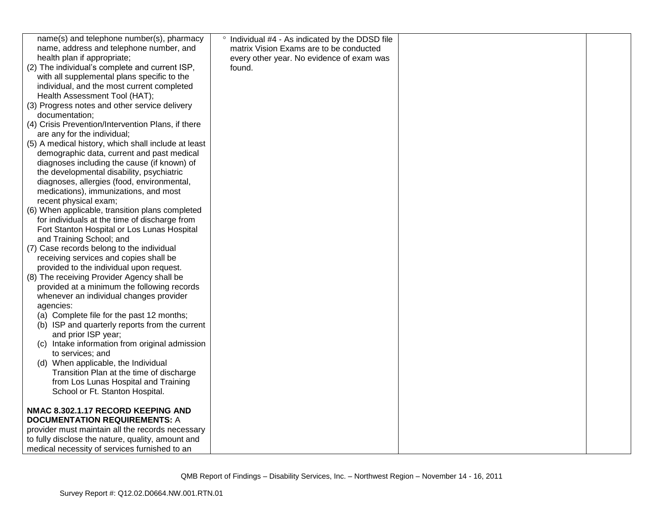| name(s) and telephone number(s), pharmacy           | ° Individual #4 - As indicated by the DDSD file |  |
|-----------------------------------------------------|-------------------------------------------------|--|
| name, address and telephone number, and             | matrix Vision Exams are to be conducted         |  |
| health plan if appropriate;                         | every other year. No evidence of exam was       |  |
| (2) The individual's complete and current ISP,      | found.                                          |  |
| with all supplemental plans specific to the         |                                                 |  |
| individual, and the most current completed          |                                                 |  |
| Health Assessment Tool (HAT);                       |                                                 |  |
| (3) Progress notes and other service delivery       |                                                 |  |
| documentation;                                      |                                                 |  |
| (4) Crisis Prevention/Intervention Plans, if there  |                                                 |  |
| are any for the individual;                         |                                                 |  |
| (5) A medical history, which shall include at least |                                                 |  |
| demographic data, current and past medical          |                                                 |  |
| diagnoses including the cause (if known) of         |                                                 |  |
| the developmental disability, psychiatric           |                                                 |  |
| diagnoses, allergies (food, environmental,          |                                                 |  |
| medications), immunizations, and most               |                                                 |  |
| recent physical exam;                               |                                                 |  |
| (6) When applicable, transition plans completed     |                                                 |  |
| for individuals at the time of discharge from       |                                                 |  |
| Fort Stanton Hospital or Los Lunas Hospital         |                                                 |  |
| and Training School; and                            |                                                 |  |
| (7) Case records belong to the individual           |                                                 |  |
| receiving services and copies shall be              |                                                 |  |
| provided to the individual upon request.            |                                                 |  |
| (8) The receiving Provider Agency shall be          |                                                 |  |
| provided at a minimum the following records         |                                                 |  |
| whenever an individual changes provider             |                                                 |  |
| agencies:                                           |                                                 |  |
| (a) Complete file for the past 12 months;           |                                                 |  |
| (b) ISP and quarterly reports from the current      |                                                 |  |
| and prior ISP year;                                 |                                                 |  |
| (c) Intake information from original admission      |                                                 |  |
| to services; and                                    |                                                 |  |
| (d) When applicable, the Individual                 |                                                 |  |
| Transition Plan at the time of discharge            |                                                 |  |
| from Los Lunas Hospital and Training                |                                                 |  |
| School or Ft. Stanton Hospital.                     |                                                 |  |
| NMAC 8.302.1.17 RECORD KEEPING AND                  |                                                 |  |
| <b>DOCUMENTATION REQUIREMENTS: A</b>                |                                                 |  |
| provider must maintain all the records necessary    |                                                 |  |
| to fully disclose the nature, quality, amount and   |                                                 |  |
|                                                     |                                                 |  |
| medical necessity of services furnished to an       |                                                 |  |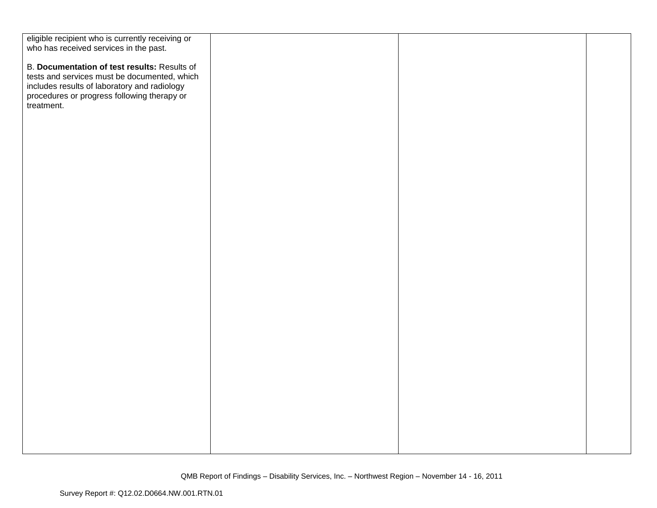| eligible recipient who is currently receiving or                                            |  |  |
|---------------------------------------------------------------------------------------------|--|--|
| who has received services in the past.                                                      |  |  |
|                                                                                             |  |  |
| B. Documentation of test results: Results of                                                |  |  |
| tests and services must be documented, which                                                |  |  |
| includes results of laboratory and radiology<br>procedures or progress following therapy or |  |  |
|                                                                                             |  |  |
| treatment.                                                                                  |  |  |
|                                                                                             |  |  |
|                                                                                             |  |  |
|                                                                                             |  |  |
|                                                                                             |  |  |
|                                                                                             |  |  |
|                                                                                             |  |  |
|                                                                                             |  |  |
|                                                                                             |  |  |
|                                                                                             |  |  |
|                                                                                             |  |  |
|                                                                                             |  |  |
|                                                                                             |  |  |
|                                                                                             |  |  |
|                                                                                             |  |  |
|                                                                                             |  |  |
|                                                                                             |  |  |
|                                                                                             |  |  |
|                                                                                             |  |  |
|                                                                                             |  |  |
|                                                                                             |  |  |
|                                                                                             |  |  |
|                                                                                             |  |  |
|                                                                                             |  |  |
|                                                                                             |  |  |
|                                                                                             |  |  |
|                                                                                             |  |  |
|                                                                                             |  |  |
|                                                                                             |  |  |
|                                                                                             |  |  |
|                                                                                             |  |  |
|                                                                                             |  |  |
|                                                                                             |  |  |
|                                                                                             |  |  |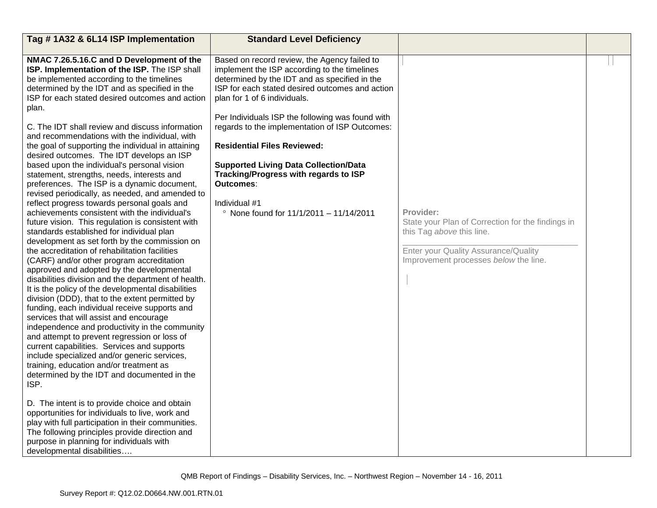| Tag #1A32 & 6L14 ISP Implementation                                                                                                                                                                                                                                                                                                                                                                                                                                                                                                                                                                                                                                                                                                                                                                                                                                                                                                                                                                                                                                                                                                                                                                                                                                                                                                                                                                                                                                                                                                                                                                                                                                                                                                                                                                                                                                                                            | <b>Standard Level Deficiency</b>                                                                                                                                                                                                                                                                                                                                                                                                                                                                                                                               |                                                                                                                                                                              |  |
|----------------------------------------------------------------------------------------------------------------------------------------------------------------------------------------------------------------------------------------------------------------------------------------------------------------------------------------------------------------------------------------------------------------------------------------------------------------------------------------------------------------------------------------------------------------------------------------------------------------------------------------------------------------------------------------------------------------------------------------------------------------------------------------------------------------------------------------------------------------------------------------------------------------------------------------------------------------------------------------------------------------------------------------------------------------------------------------------------------------------------------------------------------------------------------------------------------------------------------------------------------------------------------------------------------------------------------------------------------------------------------------------------------------------------------------------------------------------------------------------------------------------------------------------------------------------------------------------------------------------------------------------------------------------------------------------------------------------------------------------------------------------------------------------------------------------------------------------------------------------------------------------------------------|----------------------------------------------------------------------------------------------------------------------------------------------------------------------------------------------------------------------------------------------------------------------------------------------------------------------------------------------------------------------------------------------------------------------------------------------------------------------------------------------------------------------------------------------------------------|------------------------------------------------------------------------------------------------------------------------------------------------------------------------------|--|
| NMAC 7.26.5.16.C and D Development of the<br>ISP. Implementation of the ISP. The ISP shall<br>be implemented according to the timelines<br>determined by the IDT and as specified in the<br>ISP for each stated desired outcomes and action<br>plan.<br>C. The IDT shall review and discuss information<br>and recommendations with the individual, with<br>the goal of supporting the individual in attaining<br>desired outcomes. The IDT develops an ISP<br>based upon the individual's personal vision<br>statement, strengths, needs, interests and<br>preferences. The ISP is a dynamic document,<br>revised periodically, as needed, and amended to<br>reflect progress towards personal goals and<br>achievements consistent with the individual's<br>future vision. This regulation is consistent with<br>standards established for individual plan<br>development as set forth by the commission on<br>the accreditation of rehabilitation facilities<br>(CARF) and/or other program accreditation<br>approved and adopted by the developmental<br>disabilities division and the department of health.<br>It is the policy of the developmental disabilities<br>division (DDD), that to the extent permitted by<br>funding, each individual receive supports and<br>services that will assist and encourage<br>independence and productivity in the community<br>and attempt to prevent regression or loss of<br>current capabilities. Services and supports<br>include specialized and/or generic services,<br>training, education and/or treatment as<br>determined by the IDT and documented in the<br>ISP.<br>D. The intent is to provide choice and obtain<br>opportunities for individuals to live, work and<br>play with full participation in their communities.<br>The following principles provide direction and<br>purpose in planning for individuals with<br>developmental disabilities | Based on record review, the Agency failed to<br>implement the ISP according to the timelines<br>determined by the IDT and as specified in the<br>ISP for each stated desired outcomes and action<br>plan for 1 of 6 individuals.<br>Per Individuals ISP the following was found with<br>regards to the implementation of ISP Outcomes:<br><b>Residential Files Reviewed:</b><br><b>Supported Living Data Collection/Data</b><br>Tracking/Progress with regards to ISP<br><b>Outcomes:</b><br>Individual #1<br>$^{\circ}$ None found for 11/1/2011 - 11/14/2011 | Provider:<br>State your Plan of Correction for the findings in<br>this Tag above this line.<br>Enter your Quality Assurance/Quality<br>Improvement processes below the line. |  |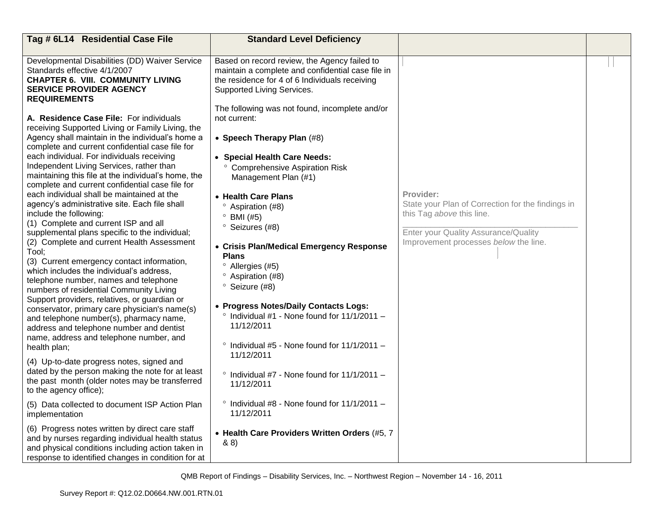| Tag # 6L14 Residential Case File                                                                                                                                                                                                                                                                                                                                                                                                                                                                                                                                                                                                                                                                                                                                                                                                                               | <b>Standard Level Deficiency</b>                                                                                                                                                                                                                                                                                                                                                                                                                                                         |                                                                                                                                                                              |  |
|----------------------------------------------------------------------------------------------------------------------------------------------------------------------------------------------------------------------------------------------------------------------------------------------------------------------------------------------------------------------------------------------------------------------------------------------------------------------------------------------------------------------------------------------------------------------------------------------------------------------------------------------------------------------------------------------------------------------------------------------------------------------------------------------------------------------------------------------------------------|------------------------------------------------------------------------------------------------------------------------------------------------------------------------------------------------------------------------------------------------------------------------------------------------------------------------------------------------------------------------------------------------------------------------------------------------------------------------------------------|------------------------------------------------------------------------------------------------------------------------------------------------------------------------------|--|
| Developmental Disabilities (DD) Waiver Service<br>Standards effective 4/1/2007<br><b>CHAPTER 6. VIII. COMMUNITY LIVING</b><br><b>SERVICE PROVIDER AGENCY</b><br><b>REQUIREMENTS</b><br>A. Residence Case File: For individuals<br>receiving Supported Living or Family Living, the<br>Agency shall maintain in the individual's home a<br>complete and current confidential case file for<br>each individual. For individuals receiving<br>Independent Living Services, rather than<br>maintaining this file at the individual's home, the<br>complete and current confidential case file for<br>each individual shall be maintained at the<br>agency's administrative site. Each file shall<br>include the following:<br>(1) Complete and current ISP and all<br>supplemental plans specific to the individual;<br>(2) Complete and current Health Assessment | Based on record review, the Agency failed to<br>maintain a complete and confidential case file in<br>the residence for 4 of 6 Individuals receiving<br>Supported Living Services.<br>The following was not found, incomplete and/or<br>not current:<br>• Speech Therapy Plan (#8)<br>• Special Health Care Needs:<br>° Comprehensive Aspiration Risk<br>Management Plan (#1)<br>• Health Care Plans<br><sup>o</sup> Aspiration (#8)<br>$^{\circ}$ BMI (#5)<br><sup>o</sup> Seizures (#8) | Provider:<br>State your Plan of Correction for the findings in<br>this Tag above this line.<br>Enter your Quality Assurance/Quality<br>Improvement processes below the line. |  |
| Tool;<br>(3) Current emergency contact information,<br>which includes the individual's address,<br>telephone number, names and telephone<br>numbers of residential Community Living<br>Support providers, relatives, or guardian or<br>conservator, primary care physician's name(s)<br>and telephone number(s), pharmacy name,<br>address and telephone number and dentist<br>name, address and telephone number, and<br>health plan;                                                                                                                                                                                                                                                                                                                                                                                                                         | • Crisis Plan/Medical Emergency Response<br><b>Plans</b><br><sup>o</sup> Allergies (#5)<br><sup>o</sup> Aspiration (#8)<br><sup>o</sup> Seizure (#8)<br>• Progress Notes/Daily Contacts Logs:<br>$\degree$ Individual #1 - None found for 11/1/2011 -<br>11/12/2011<br>$\degree$ Individual #5 - None found for 11/1/2011 -                                                                                                                                                              |                                                                                                                                                                              |  |
| (4) Up-to-date progress notes, signed and<br>dated by the person making the note for at least<br>the past month (older notes may be transferred<br>to the agency office);                                                                                                                                                                                                                                                                                                                                                                                                                                                                                                                                                                                                                                                                                      | 11/12/2011<br>$\degree$ Individual #7 - None found for 11/1/2011 -<br>11/12/2011                                                                                                                                                                                                                                                                                                                                                                                                         |                                                                                                                                                                              |  |
| (5) Data collected to document ISP Action Plan<br>implementation                                                                                                                                                                                                                                                                                                                                                                                                                                                                                                                                                                                                                                                                                                                                                                                               | $\degree$ Individual #8 - None found for 11/1/2011 -<br>11/12/2011                                                                                                                                                                                                                                                                                                                                                                                                                       |                                                                                                                                                                              |  |
| (6) Progress notes written by direct care staff<br>and by nurses regarding individual health status<br>and physical conditions including action taken in<br>response to identified changes in condition for at                                                                                                                                                                                                                                                                                                                                                                                                                                                                                                                                                                                                                                                 | • Health Care Providers Written Orders (#5, 7<br>88)                                                                                                                                                                                                                                                                                                                                                                                                                                     |                                                                                                                                                                              |  |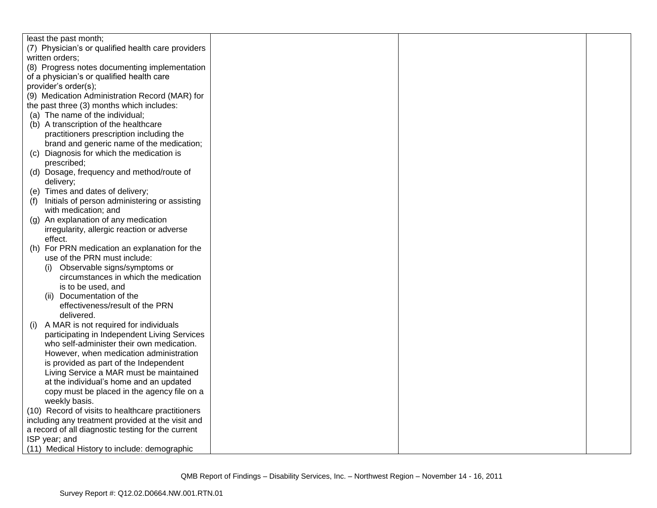|     | least the past month;                              |  |  |
|-----|----------------------------------------------------|--|--|
|     | (7) Physician's or qualified health care providers |  |  |
|     | written orders;                                    |  |  |
|     | (8) Progress notes documenting implementation      |  |  |
|     | of a physician's or qualified health care          |  |  |
|     | provider's order(s);                               |  |  |
|     | (9) Medication Administration Record (MAR) for     |  |  |
|     | the past three (3) months which includes:          |  |  |
|     | (a) The name of the individual;                    |  |  |
|     | (b) A transcription of the healthcare              |  |  |
|     | practitioners prescription including the           |  |  |
|     | brand and generic name of the medication;          |  |  |
|     | (c) Diagnosis for which the medication is          |  |  |
|     | prescribed;                                        |  |  |
|     | (d) Dosage, frequency and method/route of          |  |  |
|     | delivery;                                          |  |  |
|     | (e) Times and dates of delivery;                   |  |  |
| (f) | Initials of person administering or assisting      |  |  |
|     | with medication; and                               |  |  |
| (g) | An explanation of any medication                   |  |  |
|     | irregularity, allergic reaction or adverse         |  |  |
|     | effect.                                            |  |  |
|     | (h) For PRN medication an explanation for the      |  |  |
|     | use of the PRN must include:                       |  |  |
|     | (i) Observable signs/symptoms or                   |  |  |
|     | circumstances in which the medication              |  |  |
|     | is to be used, and                                 |  |  |
|     | (ii) Documentation of the                          |  |  |
|     | effectiveness/result of the PRN                    |  |  |
|     | delivered.                                         |  |  |
| (i) | A MAR is not required for individuals              |  |  |
|     | participating in Independent Living Services       |  |  |
|     | who self-administer their own medication.          |  |  |
|     | However, when medication administration            |  |  |
|     | is provided as part of the Independent             |  |  |
|     | Living Service a MAR must be maintained            |  |  |
|     | at the individual's home and an updated            |  |  |
|     | copy must be placed in the agency file on a        |  |  |
|     | weekly basis.                                      |  |  |
|     | (10) Record of visits to healthcare practitioners  |  |  |
|     | including any treatment provided at the visit and  |  |  |
|     | a record of all diagnostic testing for the current |  |  |
|     | ISP year; and                                      |  |  |
|     | (11) Medical History to include: demographic       |  |  |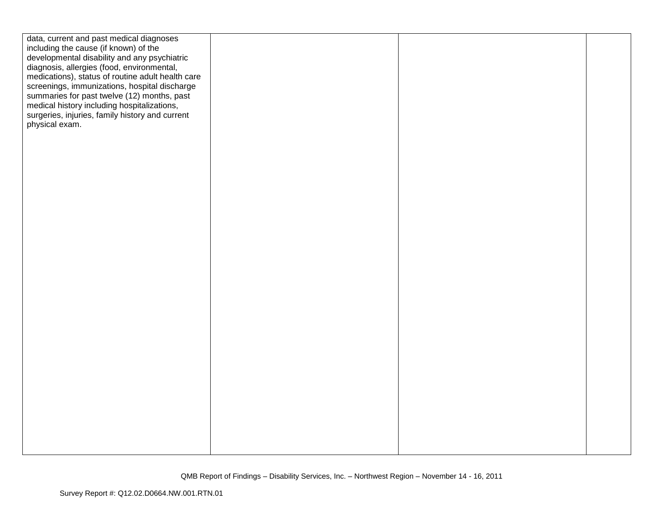| data, current and past medical diagnoses                                                   |  |  |
|--------------------------------------------------------------------------------------------|--|--|
| including the cause (if known) of the                                                      |  |  |
| developmental disability and any psychiatric<br>diagnosis, allergies (food, environmental, |  |  |
| medications), status of routine adult health care                                          |  |  |
| screenings, immunizations, hospital discharge                                              |  |  |
| summaries for past twelve (12) months, past                                                |  |  |
| medical history including hospitalizations,                                                |  |  |
| surgeries, injuries, family history and current                                            |  |  |
| physical exam.                                                                             |  |  |
|                                                                                            |  |  |
|                                                                                            |  |  |
|                                                                                            |  |  |
|                                                                                            |  |  |
|                                                                                            |  |  |
|                                                                                            |  |  |
|                                                                                            |  |  |
|                                                                                            |  |  |
|                                                                                            |  |  |
|                                                                                            |  |  |
|                                                                                            |  |  |
|                                                                                            |  |  |
|                                                                                            |  |  |
|                                                                                            |  |  |
|                                                                                            |  |  |
|                                                                                            |  |  |
|                                                                                            |  |  |
|                                                                                            |  |  |
|                                                                                            |  |  |
|                                                                                            |  |  |
|                                                                                            |  |  |
|                                                                                            |  |  |
|                                                                                            |  |  |
|                                                                                            |  |  |
|                                                                                            |  |  |
|                                                                                            |  |  |
|                                                                                            |  |  |
|                                                                                            |  |  |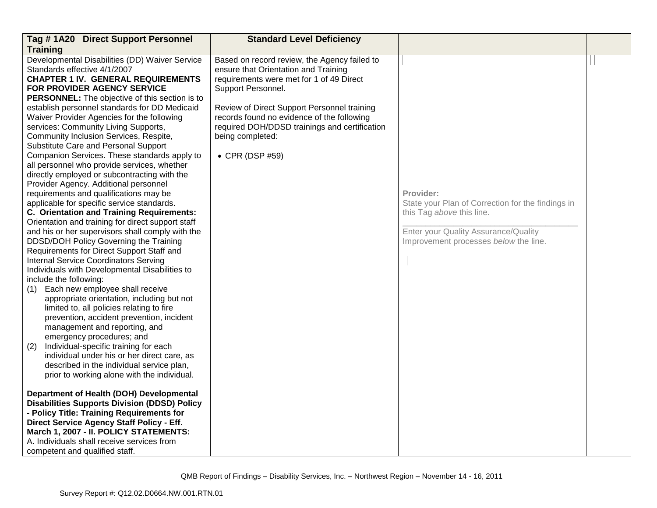| Tag #1A20 Direct Support Personnel                                                                                                                                                                                                                                                                                                                                                                                                                                                                                                                                                                                                                                                                                                                                                                                                                                                                                                                                                                                                                                                                                                                                                                                                                                                                                                                                                                                                                                                                                                               | <b>Standard Level Deficiency</b>                                                                                                                                                                                                                                                                                                            |                                                                                                                                                                              |  |
|--------------------------------------------------------------------------------------------------------------------------------------------------------------------------------------------------------------------------------------------------------------------------------------------------------------------------------------------------------------------------------------------------------------------------------------------------------------------------------------------------------------------------------------------------------------------------------------------------------------------------------------------------------------------------------------------------------------------------------------------------------------------------------------------------------------------------------------------------------------------------------------------------------------------------------------------------------------------------------------------------------------------------------------------------------------------------------------------------------------------------------------------------------------------------------------------------------------------------------------------------------------------------------------------------------------------------------------------------------------------------------------------------------------------------------------------------------------------------------------------------------------------------------------------------|---------------------------------------------------------------------------------------------------------------------------------------------------------------------------------------------------------------------------------------------------------------------------------------------------------------------------------------------|------------------------------------------------------------------------------------------------------------------------------------------------------------------------------|--|
| <b>Training</b>                                                                                                                                                                                                                                                                                                                                                                                                                                                                                                                                                                                                                                                                                                                                                                                                                                                                                                                                                                                                                                                                                                                                                                                                                                                                                                                                                                                                                                                                                                                                  |                                                                                                                                                                                                                                                                                                                                             |                                                                                                                                                                              |  |
| Developmental Disabilities (DD) Waiver Service<br>Standards effective 4/1/2007<br><b>CHAPTER 1 IV. GENERAL REQUIREMENTS</b><br>FOR PROVIDER AGENCY SERVICE<br><b>PERSONNEL:</b> The objective of this section is to<br>establish personnel standards for DD Medicaid<br>Waiver Provider Agencies for the following<br>services: Community Living Supports,<br>Community Inclusion Services, Respite,<br>Substitute Care and Personal Support<br>Companion Services. These standards apply to<br>all personnel who provide services, whether<br>directly employed or subcontracting with the<br>Provider Agency. Additional personnel<br>requirements and qualifications may be<br>applicable for specific service standards.<br>C. Orientation and Training Requirements:<br>Orientation and training for direct support staff<br>and his or her supervisors shall comply with the<br>DDSD/DOH Policy Governing the Training<br>Requirements for Direct Support Staff and<br><b>Internal Service Coordinators Serving</b><br>Individuals with Developmental Disabilities to<br>include the following:<br>Each new employee shall receive<br>(1)<br>appropriate orientation, including but not<br>limited to, all policies relating to fire<br>prevention, accident prevention, incident<br>management and reporting, and<br>emergency procedures; and<br>Individual-specific training for each<br>(2)<br>individual under his or her direct care, as<br>described in the individual service plan,<br>prior to working alone with the individual. | Based on record review, the Agency failed to<br>ensure that Orientation and Training<br>requirements were met for 1 of 49 Direct<br>Support Personnel.<br>Review of Direct Support Personnel training<br>records found no evidence of the following<br>required DOH/DDSD trainings and certification<br>being completed:<br>• CPR (DSP #59) | Provider:<br>State your Plan of Correction for the findings in<br>this Tag above this line.<br>Enter your Quality Assurance/Quality<br>Improvement processes below the line. |  |
| Department of Health (DOH) Developmental<br><b>Disabilities Supports Division (DDSD) Policy</b><br>- Policy Title: Training Requirements for<br>Direct Service Agency Staff Policy - Eff.<br>March 1, 2007 - II. POLICY STATEMENTS:<br>A. Individuals shall receive services from<br>competent and qualified staff.                                                                                                                                                                                                                                                                                                                                                                                                                                                                                                                                                                                                                                                                                                                                                                                                                                                                                                                                                                                                                                                                                                                                                                                                                              |                                                                                                                                                                                                                                                                                                                                             |                                                                                                                                                                              |  |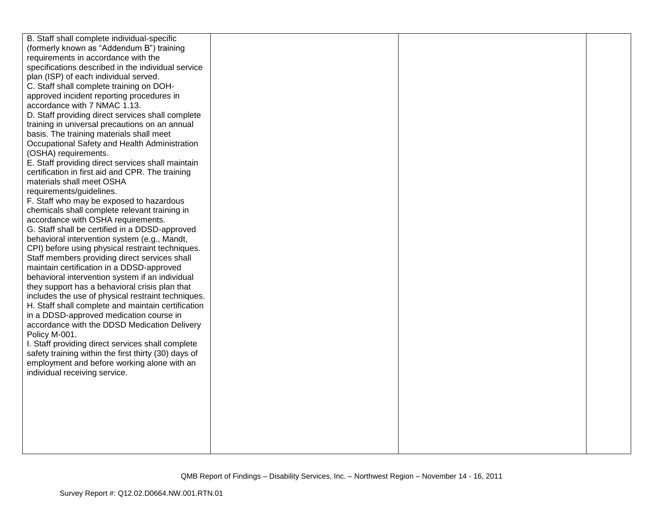| B. Staff shall complete individual-specific                                                         |  |  |
|-----------------------------------------------------------------------------------------------------|--|--|
| (formerly known as "Addendum B") training                                                           |  |  |
| requirements in accordance with the                                                                 |  |  |
| specifications described in the individual service                                                  |  |  |
| plan (ISP) of each individual served.                                                               |  |  |
| C. Staff shall complete training on DOH-                                                            |  |  |
| approved incident reporting procedures in                                                           |  |  |
| accordance with 7 NMAC 1.13.                                                                        |  |  |
| D. Staff providing direct services shall complete                                                   |  |  |
| training in universal precautions on an annual                                                      |  |  |
| basis. The training materials shall meet                                                            |  |  |
| Occupational Safety and Health Administration                                                       |  |  |
| (OSHA) requirements.                                                                                |  |  |
| E. Staff providing direct services shall maintain                                                   |  |  |
| certification in first aid and CPR. The training                                                    |  |  |
| materials shall meet OSHA                                                                           |  |  |
| requirements/guidelines.                                                                            |  |  |
| F. Staff who may be exposed to hazardous                                                            |  |  |
| chemicals shall complete relevant training in                                                       |  |  |
| accordance with OSHA requirements.                                                                  |  |  |
| G. Staff shall be certified in a DDSD-approved                                                      |  |  |
| behavioral intervention system (e.g., Mandt,                                                        |  |  |
| CPI) before using physical restraint techniques.                                                    |  |  |
| Staff members providing direct services shall                                                       |  |  |
| maintain certification in a DDSD-approved                                                           |  |  |
| behavioral intervention system if an individual                                                     |  |  |
| they support has a behavioral crisis plan that                                                      |  |  |
| includes the use of physical restraint techniques.                                                  |  |  |
| H. Staff shall complete and maintain certification                                                  |  |  |
| in a DDSD-approved medication course in                                                             |  |  |
| accordance with the DDSD Medication Delivery                                                        |  |  |
| Policy M-001.                                                                                       |  |  |
| I. Staff providing direct services shall complete                                                   |  |  |
| safety training within the first thirty (30) days of<br>employment and before working alone with an |  |  |
| individual receiving service.                                                                       |  |  |
|                                                                                                     |  |  |
|                                                                                                     |  |  |
|                                                                                                     |  |  |
|                                                                                                     |  |  |
|                                                                                                     |  |  |
|                                                                                                     |  |  |
|                                                                                                     |  |  |
|                                                                                                     |  |  |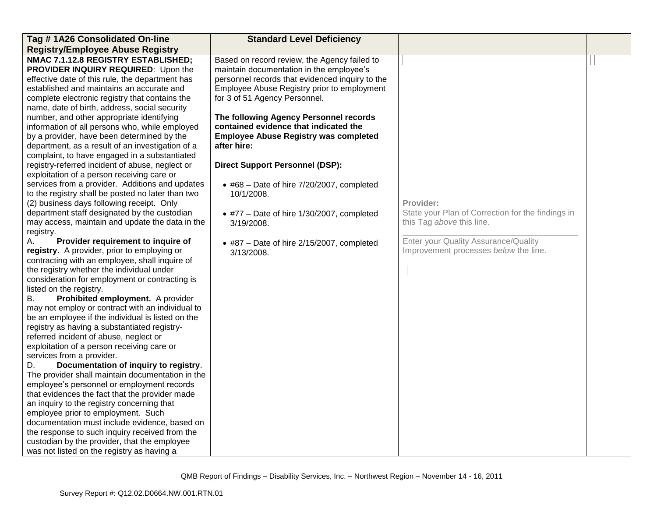| Tag #1A26 Consolidated On-line                                                                                                                                                                                                                                                                                                                                                                                                                                                                                                                                                                                                                                                                                                                                                                                                                                                                                                                                                                                                                 | <b>Standard Level Deficiency</b>                                                                                                                                                                                                                                                                                                                                              |                                                                                             |  |
|------------------------------------------------------------------------------------------------------------------------------------------------------------------------------------------------------------------------------------------------------------------------------------------------------------------------------------------------------------------------------------------------------------------------------------------------------------------------------------------------------------------------------------------------------------------------------------------------------------------------------------------------------------------------------------------------------------------------------------------------------------------------------------------------------------------------------------------------------------------------------------------------------------------------------------------------------------------------------------------------------------------------------------------------|-------------------------------------------------------------------------------------------------------------------------------------------------------------------------------------------------------------------------------------------------------------------------------------------------------------------------------------------------------------------------------|---------------------------------------------------------------------------------------------|--|
| <b>Registry/Employee Abuse Registry</b>                                                                                                                                                                                                                                                                                                                                                                                                                                                                                                                                                                                                                                                                                                                                                                                                                                                                                                                                                                                                        |                                                                                                                                                                                                                                                                                                                                                                               |                                                                                             |  |
| NMAC 7.1.12.8 REGISTRY ESTABLISHED;<br>PROVIDER INQUIRY REQUIRED: Upon the<br>effective date of this rule, the department has<br>established and maintains an accurate and<br>complete electronic registry that contains the<br>name, date of birth, address, social security<br>number, and other appropriate identifying<br>information of all persons who, while employed<br>by a provider, have been determined by the<br>department, as a result of an investigation of a<br>complaint, to have engaged in a substantiated                                                                                                                                                                                                                                                                                                                                                                                                                                                                                                                | Based on record review, the Agency failed to<br>maintain documentation in the employee's<br>personnel records that evidenced inquiry to the<br>Employee Abuse Registry prior to employment<br>for 3 of 51 Agency Personnel.<br>The following Agency Personnel records<br>contained evidence that indicated the<br><b>Employee Abuse Registry was completed</b><br>after hire: |                                                                                             |  |
| registry-referred incident of abuse, neglect or                                                                                                                                                                                                                                                                                                                                                                                                                                                                                                                                                                                                                                                                                                                                                                                                                                                                                                                                                                                                | <b>Direct Support Personnel (DSP):</b>                                                                                                                                                                                                                                                                                                                                        |                                                                                             |  |
| exploitation of a person receiving care or<br>services from a provider. Additions and updates<br>to the registry shall be posted no later than two<br>(2) business days following receipt. Only<br>department staff designated by the custodian<br>may access, maintain and update the data in the                                                                                                                                                                                                                                                                                                                                                                                                                                                                                                                                                                                                                                                                                                                                             | $\bullet$ #68 - Date of hire 7/20/2007, completed<br>10/1/2008.<br>• #77 - Date of hire 1/30/2007, completed<br>3/19/2008.                                                                                                                                                                                                                                                    | Provider:<br>State your Plan of Correction for the findings in<br>this Tag above this line. |  |
| registry.<br>Provider requirement to inquire of                                                                                                                                                                                                                                                                                                                                                                                                                                                                                                                                                                                                                                                                                                                                                                                                                                                                                                                                                                                                |                                                                                                                                                                                                                                                                                                                                                                               | Enter your Quality Assurance/Quality                                                        |  |
| А.<br>registry. A provider, prior to employing or<br>contracting with an employee, shall inquire of<br>the registry whether the individual under<br>consideration for employment or contracting is<br>listed on the registry.<br>Prohibited employment. A provider<br>В.<br>may not employ or contract with an individual to<br>be an employee if the individual is listed on the<br>registry as having a substantiated registry-<br>referred incident of abuse, neglect or<br>exploitation of a person receiving care or<br>services from a provider.<br>Documentation of inquiry to registry.<br>D.<br>The provider shall maintain documentation in the<br>employee's personnel or employment records<br>that evidences the fact that the provider made<br>an inquiry to the registry concerning that<br>employee prior to employment. Such<br>documentation must include evidence, based on<br>the response to such inquiry received from the<br>custodian by the provider, that the employee<br>was not listed on the registry as having a | $\bullet$ #87 - Date of hire 2/15/2007, completed<br>3/13/2008.                                                                                                                                                                                                                                                                                                               | Improvement processes below the line.                                                       |  |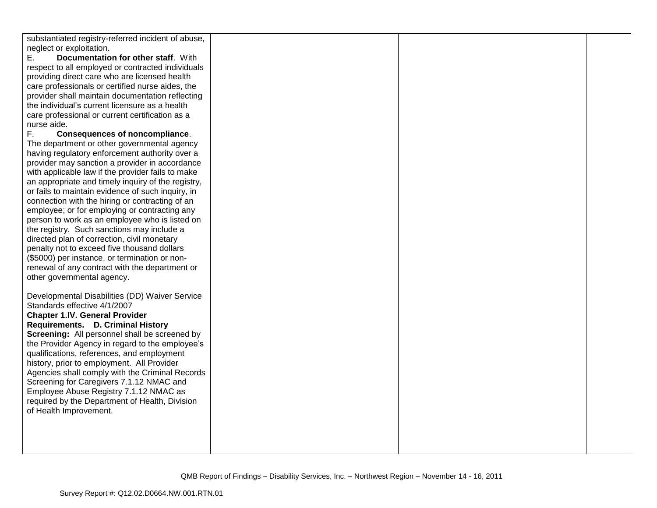| substantiated registry-referred incident of abuse, |  |  |
|----------------------------------------------------|--|--|
| neglect or exploitation.                           |  |  |
| Е.<br>Documentation for other staff. With          |  |  |
| respect to all employed or contracted individuals  |  |  |
| providing direct care who are licensed health      |  |  |
| care professionals or certified nurse aides, the   |  |  |
| provider shall maintain documentation reflecting   |  |  |
| the individual's current licensure as a health     |  |  |
| care professional or current certification as a    |  |  |
| nurse aide.                                        |  |  |
| F.<br><b>Consequences of noncompliance.</b>        |  |  |
| The department or other governmental agency        |  |  |
| having regulatory enforcement authority over a     |  |  |
| provider may sanction a provider in accordance     |  |  |
| with applicable law if the provider fails to make  |  |  |
| an appropriate and timely inquiry of the registry, |  |  |
| or fails to maintain evidence of such inquiry, in  |  |  |
| connection with the hiring or contracting of an    |  |  |
| employee; or for employing or contracting any      |  |  |
| person to work as an employee who is listed on     |  |  |
| the registry. Such sanctions may include a         |  |  |
| directed plan of correction, civil monetary        |  |  |
| penalty not to exceed five thousand dollars        |  |  |
| (\$5000) per instance, or termination or non-      |  |  |
| renewal of any contract with the department or     |  |  |
| other governmental agency.                         |  |  |
|                                                    |  |  |
| Developmental Disabilities (DD) Waiver Service     |  |  |
| Standards effective 4/1/2007                       |  |  |
| <b>Chapter 1.IV. General Provider</b>              |  |  |
| Requirements. D. Criminal History                  |  |  |
| Screening: All personnel shall be screened by      |  |  |
| the Provider Agency in regard to the employee's    |  |  |
| qualifications, references, and employment         |  |  |
| history, prior to employment. All Provider         |  |  |
| Agencies shall comply with the Criminal Records    |  |  |
| Screening for Caregivers 7.1.12 NMAC and           |  |  |
| Employee Abuse Registry 7.1.12 NMAC as             |  |  |
| required by the Department of Health, Division     |  |  |
| of Health Improvement.                             |  |  |
|                                                    |  |  |
|                                                    |  |  |
|                                                    |  |  |
|                                                    |  |  |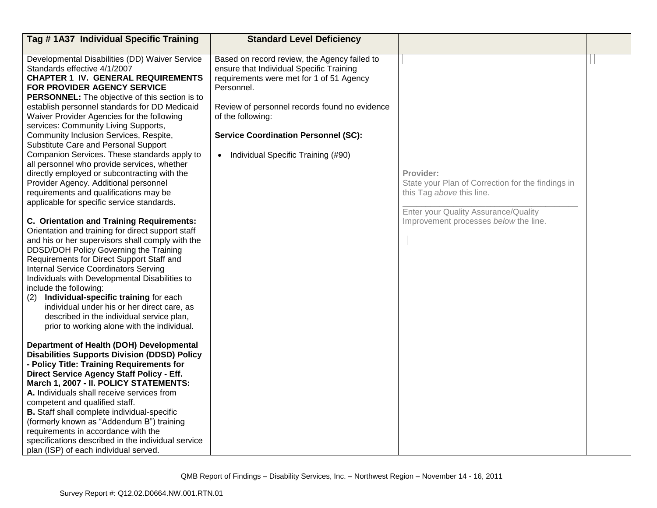| Tag #1A37 Individual Specific Training                                                                                                                                                                                                                                                                                                                                                                                                                                                                                                                                                                                                                                                                                                                                                                                                                                                                                                                                                                                                                                                                                                                                                                      | <b>Standard Level Deficiency</b>                                                                                                                                                                                                                                                                                           |                                                                                                                                                                              |  |
|-------------------------------------------------------------------------------------------------------------------------------------------------------------------------------------------------------------------------------------------------------------------------------------------------------------------------------------------------------------------------------------------------------------------------------------------------------------------------------------------------------------------------------------------------------------------------------------------------------------------------------------------------------------------------------------------------------------------------------------------------------------------------------------------------------------------------------------------------------------------------------------------------------------------------------------------------------------------------------------------------------------------------------------------------------------------------------------------------------------------------------------------------------------------------------------------------------------|----------------------------------------------------------------------------------------------------------------------------------------------------------------------------------------------------------------------------------------------------------------------------------------------------------------------------|------------------------------------------------------------------------------------------------------------------------------------------------------------------------------|--|
|                                                                                                                                                                                                                                                                                                                                                                                                                                                                                                                                                                                                                                                                                                                                                                                                                                                                                                                                                                                                                                                                                                                                                                                                             |                                                                                                                                                                                                                                                                                                                            |                                                                                                                                                                              |  |
| Developmental Disabilities (DD) Waiver Service<br>Standards effective 4/1/2007<br><b>CHAPTER 1 IV. GENERAL REQUIREMENTS</b><br>FOR PROVIDER AGENCY SERVICE<br><b>PERSONNEL:</b> The objective of this section is to<br>establish personnel standards for DD Medicaid<br>Waiver Provider Agencies for the following<br>services: Community Living Supports,<br>Community Inclusion Services, Respite,<br>Substitute Care and Personal Support<br>Companion Services. These standards apply to<br>all personnel who provide services, whether<br>directly employed or subcontracting with the<br>Provider Agency. Additional personnel<br>requirements and qualifications may be<br>applicable for specific service standards.<br><b>C. Orientation and Training Requirements:</b><br>Orientation and training for direct support staff<br>and his or her supervisors shall comply with the<br>DDSD/DOH Policy Governing the Training<br>Requirements for Direct Support Staff and<br><b>Internal Service Coordinators Serving</b><br>Individuals with Developmental Disabilities to<br>include the following:<br>Individual-specific training for each<br>(2)<br>individual under his or her direct care, as | Based on record review, the Agency failed to<br>ensure that Individual Specific Training<br>requirements were met for 1 of 51 Agency<br>Personnel.<br>Review of personnel records found no evidence<br>of the following:<br><b>Service Coordination Personnel (SC):</b><br>Individual Specific Training (#90)<br>$\bullet$ | Provider:<br>State your Plan of Correction for the findings in<br>this Tag above this line.<br>Enter your Quality Assurance/Quality<br>Improvement processes below the line. |  |
| described in the individual service plan,<br>prior to working alone with the individual.<br>Department of Health (DOH) Developmental<br><b>Disabilities Supports Division (DDSD) Policy</b><br>- Policy Title: Training Requirements for<br>Direct Service Agency Staff Policy - Eff.<br>March 1, 2007 - II. POLICY STATEMENTS:<br>A. Individuals shall receive services from<br>competent and qualified staff.<br><b>B.</b> Staff shall complete individual-specific<br>(formerly known as "Addendum B") training<br>requirements in accordance with the                                                                                                                                                                                                                                                                                                                                                                                                                                                                                                                                                                                                                                                   |                                                                                                                                                                                                                                                                                                                            |                                                                                                                                                                              |  |
| specifications described in the individual service<br>plan (ISP) of each individual served.                                                                                                                                                                                                                                                                                                                                                                                                                                                                                                                                                                                                                                                                                                                                                                                                                                                                                                                                                                                                                                                                                                                 |                                                                                                                                                                                                                                                                                                                            |                                                                                                                                                                              |  |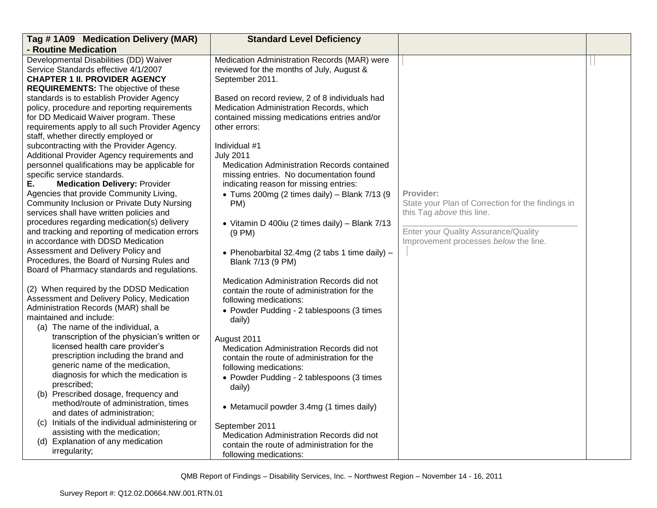| Tag #1A09 Medication Delivery (MAR)                                                            | <b>Standard Level Deficiency</b>               |                                                   |  |
|------------------------------------------------------------------------------------------------|------------------------------------------------|---------------------------------------------------|--|
| - Routine Medication                                                                           |                                                |                                                   |  |
| Developmental Disabilities (DD) Waiver                                                         | Medication Administration Records (MAR) were   |                                                   |  |
| Service Standards effective 4/1/2007                                                           | reviewed for the months of July, August &      |                                                   |  |
| <b>CHAPTER 1 II. PROVIDER AGENCY</b>                                                           | September 2011.                                |                                                   |  |
| <b>REQUIREMENTS:</b> The objective of these                                                    |                                                |                                                   |  |
| standards is to establish Provider Agency                                                      | Based on record review, 2 of 8 individuals had |                                                   |  |
| policy, procedure and reporting requirements                                                   | Medication Administration Records, which       |                                                   |  |
| for DD Medicaid Waiver program. These                                                          | contained missing medications entries and/or   |                                                   |  |
| requirements apply to all such Provider Agency                                                 | other errors:                                  |                                                   |  |
| staff, whether directly employed or                                                            |                                                |                                                   |  |
| subcontracting with the Provider Agency.                                                       | Individual #1                                  |                                                   |  |
| Additional Provider Agency requirements and                                                    | <b>July 2011</b>                               |                                                   |  |
| personnel qualifications may be applicable for                                                 | Medication Administration Records contained    |                                                   |  |
| specific service standards.                                                                    | missing entries. No documentation found        |                                                   |  |
| Ε.<br><b>Medication Delivery: Provider</b>                                                     | indicating reason for missing entries:         |                                                   |  |
| Agencies that provide Community Living,                                                        | • Tums 200mg (2 times daily) - Blank $7/13$ (9 | Provider:                                         |  |
| <b>Community Inclusion or Private Duty Nursing</b>                                             | PM)                                            | State your Plan of Correction for the findings in |  |
| services shall have written policies and                                                       |                                                | this Tag above this line.                         |  |
| procedures regarding medication(s) delivery<br>and tracking and reporting of medication errors | • Vitamin D 400iu (2 times daily) - Blank 7/13 | Enter your Quality Assurance/Quality              |  |
| in accordance with DDSD Medication                                                             | $(9 \text{ PM})$                               | Improvement processes below the line.             |  |
| Assessment and Delivery Policy and                                                             |                                                |                                                   |  |
| Procedures, the Board of Nursing Rules and                                                     | • Phenobarbital 32.4mg (2 tabs 1 time daily) - |                                                   |  |
| Board of Pharmacy standards and regulations.                                                   | Blank 7/13 (9 PM)                              |                                                   |  |
|                                                                                                |                                                |                                                   |  |
| (2) When required by the DDSD Medication                                                       | Medication Administration Records did not      |                                                   |  |
| Assessment and Delivery Policy, Medication                                                     | contain the route of administration for the    |                                                   |  |
| Administration Records (MAR) shall be                                                          | following medications:                         |                                                   |  |
| maintained and include:                                                                        | • Powder Pudding - 2 tablespoons (3 times      |                                                   |  |
| (a) The name of the individual, a                                                              | daily)                                         |                                                   |  |
| transcription of the physician's written or                                                    | August 2011                                    |                                                   |  |
| licensed health care provider's                                                                | Medication Administration Records did not      |                                                   |  |
| prescription including the brand and                                                           | contain the route of administration for the    |                                                   |  |
| generic name of the medication,                                                                | following medications:                         |                                                   |  |
| diagnosis for which the medication is                                                          | • Powder Pudding - 2 tablespoons (3 times      |                                                   |  |
| prescribed;                                                                                    | daily)                                         |                                                   |  |
| (b) Prescribed dosage, frequency and                                                           |                                                |                                                   |  |
| method/route of administration, times                                                          | • Metamucil powder 3.4mg (1 times daily)       |                                                   |  |
| and dates of administration;                                                                   |                                                |                                                   |  |
| (c) Initials of the individual administering or                                                | September 2011                                 |                                                   |  |
| assisting with the medication;                                                                 | Medication Administration Records did not      |                                                   |  |
| (d) Explanation of any medication                                                              | contain the route of administration for the    |                                                   |  |
| irregularity;                                                                                  | following medications:                         |                                                   |  |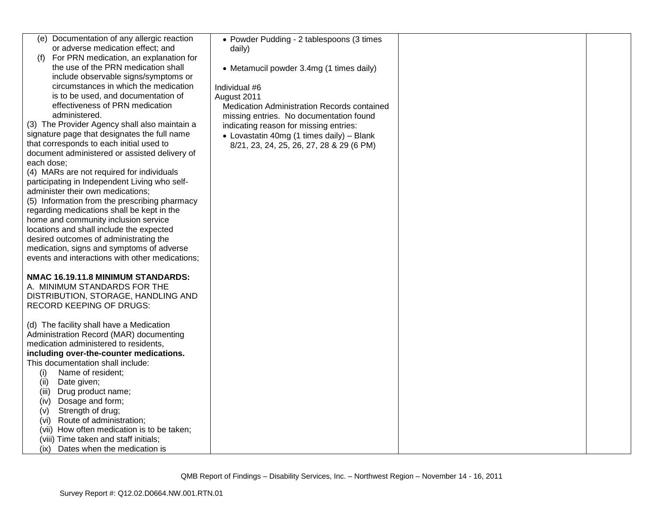| (e) Documentation of any allergic reaction      | • Powder Pudding - 2 tablespoons (3 times   |  |
|-------------------------------------------------|---------------------------------------------|--|
| or adverse medication effect; and               | daily)                                      |  |
| For PRN medication, an explanation for<br>(f)   |                                             |  |
| the use of the PRN medication shall             | • Metamucil powder 3.4mg (1 times daily)    |  |
| include observable signs/symptoms or            |                                             |  |
| circumstances in which the medication           | Individual #6                               |  |
| is to be used, and documentation of             | August 2011                                 |  |
| effectiveness of PRN medication                 | Medication Administration Records contained |  |
| administered.                                   | missing entries. No documentation found     |  |
| (3) The Provider Agency shall also maintain a   |                                             |  |
| signature page that designates the full name    | indicating reason for missing entries:      |  |
|                                                 | • Lovastatin 40mg (1 times daily) - Blank   |  |
| that corresponds to each initial used to        | 8/21, 23, 24, 25, 26, 27, 28 & 29 (6 PM)    |  |
| document administered or assisted delivery of   |                                             |  |
| each dose:                                      |                                             |  |
| (4) MARs are not required for individuals       |                                             |  |
| participating in Independent Living who self-   |                                             |  |
| administer their own medications;               |                                             |  |
| (5) Information from the prescribing pharmacy   |                                             |  |
| regarding medications shall be kept in the      |                                             |  |
| home and community inclusion service            |                                             |  |
| locations and shall include the expected        |                                             |  |
| desired outcomes of administrating the          |                                             |  |
| medication, signs and symptoms of adverse       |                                             |  |
| events and interactions with other medications; |                                             |  |
|                                                 |                                             |  |
| NMAC 16.19.11.8 MINIMUM STANDARDS:              |                                             |  |
| A. MINIMUM STANDARDS FOR THE                    |                                             |  |
| DISTRIBUTION, STORAGE, HANDLING AND             |                                             |  |
| <b>RECORD KEEPING OF DRUGS:</b>                 |                                             |  |
|                                                 |                                             |  |
| (d) The facility shall have a Medication        |                                             |  |
| Administration Record (MAR) documenting         |                                             |  |
| medication administered to residents,           |                                             |  |
| including over-the-counter medications.         |                                             |  |
| This documentation shall include:               |                                             |  |
| (i)<br>Name of resident;                        |                                             |  |
| Date given;<br>(ii)                             |                                             |  |
| Drug product name;<br>(iii)                     |                                             |  |
| Dosage and form;<br>(iv)                        |                                             |  |
| Strength of drug;<br>(V)                        |                                             |  |
| Route of administration;<br>(vi)                |                                             |  |
| (vii) How often medication is to be taken;      |                                             |  |
| (viii) Time taken and staff initials;           |                                             |  |
| (ix)<br>Dates when the medication is            |                                             |  |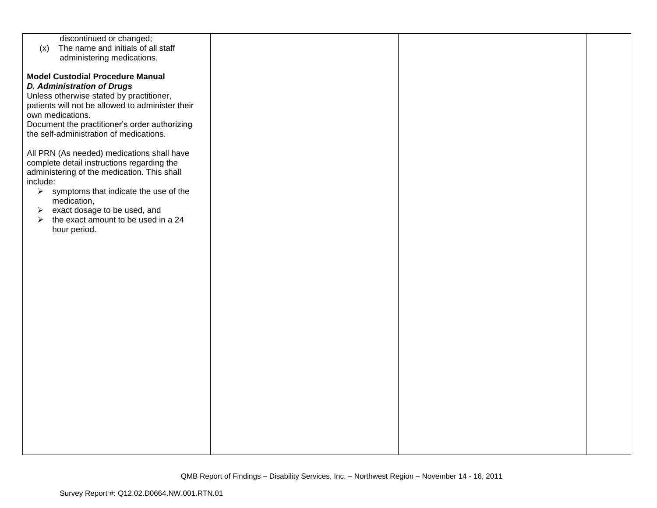| discontinued or changed;                                     |  |  |
|--------------------------------------------------------------|--|--|
| The name and initials of all staff<br>(x)                    |  |  |
| administering medications.                                   |  |  |
|                                                              |  |  |
| <b>Model Custodial Procedure Manual</b>                      |  |  |
|                                                              |  |  |
| <b>D. Administration of Drugs</b>                            |  |  |
| Unless otherwise stated by practitioner,                     |  |  |
| patients will not be allowed to administer their             |  |  |
| own medications.                                             |  |  |
| Document the practitioner's order authorizing                |  |  |
| the self-administration of medications.                      |  |  |
|                                                              |  |  |
| All PRN (As needed) medications shall have                   |  |  |
| complete detail instructions regarding the                   |  |  |
| administering of the medication. This shall                  |  |  |
| include:                                                     |  |  |
| $\triangleright$ symptoms that indicate the use of the       |  |  |
| medication,                                                  |  |  |
| exact dosage to be used, and<br>➤                            |  |  |
| the exact amount to be used in a 24<br>$\blacktriangleright$ |  |  |
| hour period.                                                 |  |  |
|                                                              |  |  |
|                                                              |  |  |
|                                                              |  |  |
|                                                              |  |  |
|                                                              |  |  |
|                                                              |  |  |
|                                                              |  |  |
|                                                              |  |  |
|                                                              |  |  |
|                                                              |  |  |
|                                                              |  |  |
|                                                              |  |  |
|                                                              |  |  |
|                                                              |  |  |
|                                                              |  |  |
|                                                              |  |  |
|                                                              |  |  |
|                                                              |  |  |
|                                                              |  |  |
|                                                              |  |  |
|                                                              |  |  |
|                                                              |  |  |
|                                                              |  |  |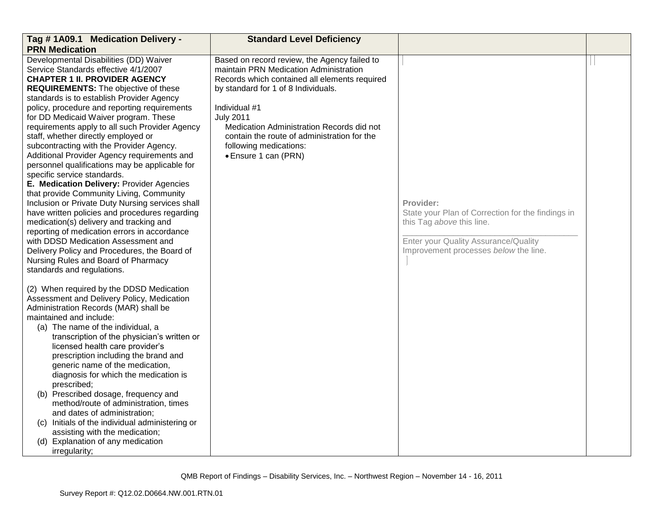| Tag #1A09.1 Medication Delivery -<br><b>PRN Medication</b>                                                                                                                                                                                                                                                                                                                                                                                                                                                                                                                                                                                                                                                                                                                                                                                                                                                                                                                                                                             | <b>Standard Level Deficiency</b>                                                                                                                                                                                                                                                                                                                                  |                                                                                                                                                                              |  |
|----------------------------------------------------------------------------------------------------------------------------------------------------------------------------------------------------------------------------------------------------------------------------------------------------------------------------------------------------------------------------------------------------------------------------------------------------------------------------------------------------------------------------------------------------------------------------------------------------------------------------------------------------------------------------------------------------------------------------------------------------------------------------------------------------------------------------------------------------------------------------------------------------------------------------------------------------------------------------------------------------------------------------------------|-------------------------------------------------------------------------------------------------------------------------------------------------------------------------------------------------------------------------------------------------------------------------------------------------------------------------------------------------------------------|------------------------------------------------------------------------------------------------------------------------------------------------------------------------------|--|
| Developmental Disabilities (DD) Waiver<br>Service Standards effective 4/1/2007<br><b>CHAPTER 1 II. PROVIDER AGENCY</b><br><b>REQUIREMENTS:</b> The objective of these<br>standards is to establish Provider Agency<br>policy, procedure and reporting requirements<br>for DD Medicaid Waiver program. These<br>requirements apply to all such Provider Agency<br>staff, whether directly employed or<br>subcontracting with the Provider Agency.<br>Additional Provider Agency requirements and<br>personnel qualifications may be applicable for<br>specific service standards.<br>E. Medication Delivery: Provider Agencies<br>that provide Community Living, Community<br>Inclusion or Private Duty Nursing services shall<br>have written policies and procedures regarding<br>medication(s) delivery and tracking and<br>reporting of medication errors in accordance<br>with DDSD Medication Assessment and<br>Delivery Policy and Procedures, the Board of<br>Nursing Rules and Board of Pharmacy<br>standards and regulations. | Based on record review, the Agency failed to<br>maintain PRN Medication Administration<br>Records which contained all elements required<br>by standard for 1 of 8 Individuals.<br>Individual #1<br><b>July 2011</b><br>Medication Administration Records did not<br>contain the route of administration for the<br>following medications:<br>• Ensure 1 can (PRN) | Provider:<br>State your Plan of Correction for the findings in<br>this Tag above this line.<br>Enter your Quality Assurance/Quality<br>Improvement processes below the line. |  |
| (2) When required by the DDSD Medication<br>Assessment and Delivery Policy, Medication<br>Administration Records (MAR) shall be<br>maintained and include:<br>(a) The name of the individual, a<br>transcription of the physician's written or<br>licensed health care provider's<br>prescription including the brand and<br>generic name of the medication,<br>diagnosis for which the medication is<br>prescribed;<br>(b) Prescribed dosage, frequency and<br>method/route of administration, times<br>and dates of administration;<br>(c) Initials of the individual administering or<br>assisting with the medication;<br>(d) Explanation of any medication<br>irregularity;                                                                                                                                                                                                                                                                                                                                                       |                                                                                                                                                                                                                                                                                                                                                                   |                                                                                                                                                                              |  |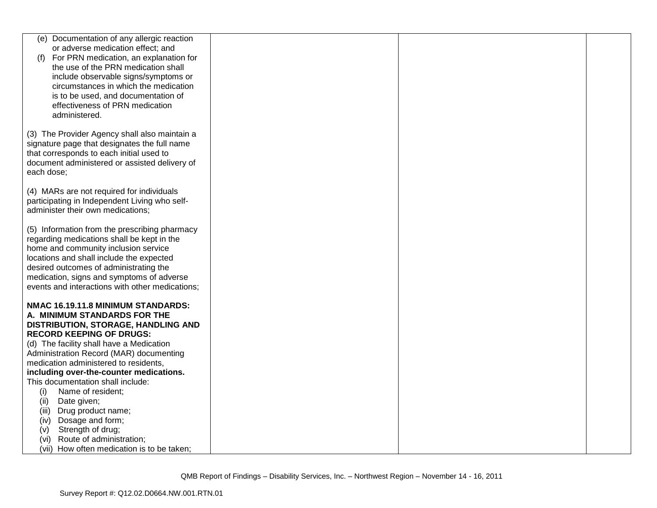| Documentation of any allergic reaction<br>(e)   |  |  |
|-------------------------------------------------|--|--|
|                                                 |  |  |
| or adverse medication effect; and               |  |  |
| For PRN medication, an explanation for<br>(1)   |  |  |
| the use of the PRN medication shall             |  |  |
| include observable signs/symptoms or            |  |  |
| circumstances in which the medication           |  |  |
| is to be used, and documentation of             |  |  |
| effectiveness of PRN medication                 |  |  |
| administered.                                   |  |  |
|                                                 |  |  |
| (3) The Provider Agency shall also maintain a   |  |  |
| signature page that designates the full name    |  |  |
| that corresponds to each initial used to        |  |  |
| document administered or assisted delivery of   |  |  |
|                                                 |  |  |
| each dose;                                      |  |  |
|                                                 |  |  |
| (4) MARs are not required for individuals       |  |  |
| participating in Independent Living who self-   |  |  |
| administer their own medications;               |  |  |
|                                                 |  |  |
| (5) Information from the prescribing pharmacy   |  |  |
| regarding medications shall be kept in the      |  |  |
| home and community inclusion service            |  |  |
| locations and shall include the expected        |  |  |
| desired outcomes of administrating the          |  |  |
| medication, signs and symptoms of adverse       |  |  |
| events and interactions with other medications; |  |  |
|                                                 |  |  |
| NMAC 16.19.11.8 MINIMUM STANDARDS:              |  |  |
| A. MINIMUM STANDARDS FOR THE                    |  |  |
| DISTRIBUTION, STORAGE, HANDLING AND             |  |  |
| <b>RECORD KEEPING OF DRUGS:</b>                 |  |  |
| (d) The facility shall have a Medication        |  |  |
| Administration Record (MAR) documenting         |  |  |
| medication administered to residents,           |  |  |
| including over-the-counter medications.         |  |  |
| This documentation shall include:               |  |  |
| Name of resident;<br>(i)                        |  |  |
| Date given;<br>(ii)                             |  |  |
| Drug product name;<br>(iii)                     |  |  |
| Dosage and form;<br>(iv)                        |  |  |
| Strength of drug;<br>(V)                        |  |  |
| Route of administration;<br>(vi)                |  |  |
| (vii) How often medication is to be taken;      |  |  |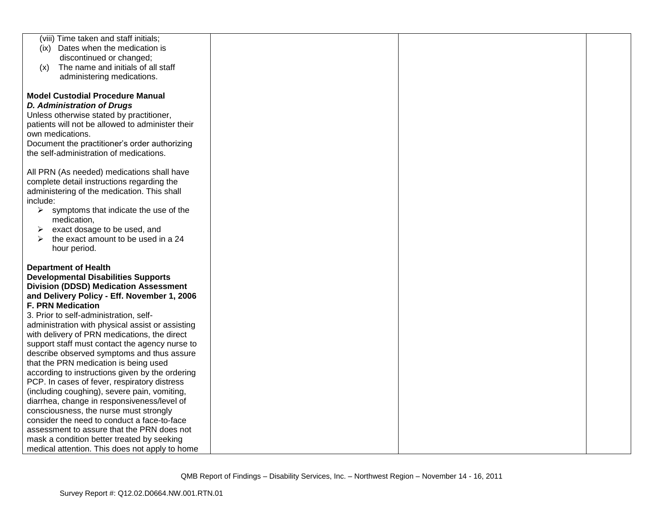| (viii) Time taken and staff initials;                                 |  |  |
|-----------------------------------------------------------------------|--|--|
| (ix) Dates when the medication is                                     |  |  |
| discontinued or changed;                                              |  |  |
| The name and initials of all staff<br>(x)                             |  |  |
| administering medications.                                            |  |  |
|                                                                       |  |  |
| <b>Model Custodial Procedure Manual</b>                               |  |  |
| <b>D. Administration of Drugs</b>                                     |  |  |
| Unless otherwise stated by practitioner,                              |  |  |
| patients will not be allowed to administer their                      |  |  |
| own medications.                                                      |  |  |
| Document the practitioner's order authorizing                         |  |  |
| the self-administration of medications.                               |  |  |
|                                                                       |  |  |
| All PRN (As needed) medications shall have                            |  |  |
| complete detail instructions regarding the                            |  |  |
| administering of the medication. This shall                           |  |  |
| include:                                                              |  |  |
| $\triangleright$ symptoms that indicate the use of the<br>medication, |  |  |
| exact dosage to be used, and<br>≻                                     |  |  |
| the exact amount to be used in a 24<br>≻                              |  |  |
| hour period.                                                          |  |  |
|                                                                       |  |  |
| <b>Department of Health</b>                                           |  |  |
| <b>Developmental Disabilities Supports</b>                            |  |  |
| <b>Division (DDSD) Medication Assessment</b>                          |  |  |
| and Delivery Policy - Eff. November 1, 2006                           |  |  |
| <b>F. PRN Medication</b>                                              |  |  |
| 3. Prior to self-administration, self-                                |  |  |
| administration with physical assist or assisting                      |  |  |
| with delivery of PRN medications, the direct                          |  |  |
| support staff must contact the agency nurse to                        |  |  |
| describe observed symptoms and thus assure                            |  |  |
| that the PRN medication is being used                                 |  |  |
| according to instructions given by the ordering                       |  |  |
| PCP. In cases of fever, respiratory distress                          |  |  |
| (including coughing), severe pain, vomiting,                          |  |  |
| diarrhea, change in responsiveness/level of                           |  |  |
| consciousness, the nurse must strongly                                |  |  |
| consider the need to conduct a face-to-face                           |  |  |
| assessment to assure that the PRN does not                            |  |  |
| mask a condition better treated by seeking                            |  |  |
| medical attention. This does not apply to home                        |  |  |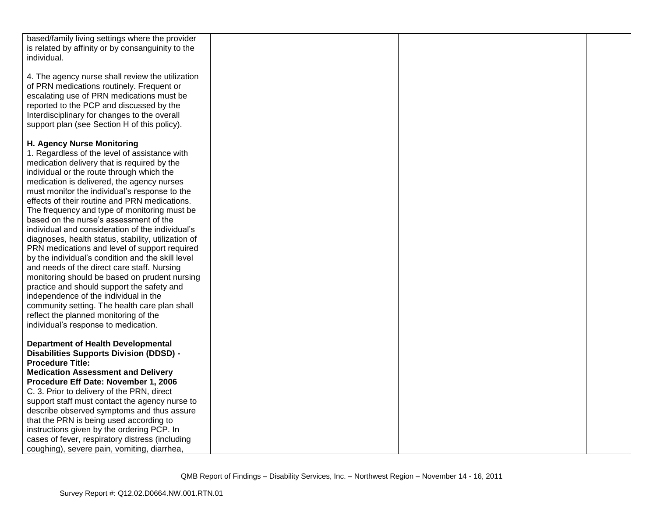| based/family living settings where the provider                                              |  |  |
|----------------------------------------------------------------------------------------------|--|--|
| is related by affinity or by consanguinity to the                                            |  |  |
| individual.                                                                                  |  |  |
|                                                                                              |  |  |
| 4. The agency nurse shall review the utilization                                             |  |  |
| of PRN medications routinely. Frequent or                                                    |  |  |
| escalating use of PRN medications must be                                                    |  |  |
| reported to the PCP and discussed by the                                                     |  |  |
| Interdisciplinary for changes to the overall                                                 |  |  |
| support plan (see Section H of this policy).                                                 |  |  |
|                                                                                              |  |  |
| H. Agency Nurse Monitoring                                                                   |  |  |
| 1. Regardless of the level of assistance with                                                |  |  |
| medication delivery that is required by the                                                  |  |  |
| individual or the route through which the                                                    |  |  |
| medication is delivered, the agency nurses                                                   |  |  |
| must monitor the individual's response to the                                                |  |  |
| effects of their routine and PRN medications.                                                |  |  |
| The frequency and type of monitoring must be                                                 |  |  |
| based on the nurse's assessment of the                                                       |  |  |
| individual and consideration of the individual's                                             |  |  |
| diagnoses, health status, stability, utilization of                                          |  |  |
| PRN medications and level of support required                                                |  |  |
| by the individual's condition and the skill level                                            |  |  |
|                                                                                              |  |  |
| and needs of the direct care staff. Nursing<br>monitoring should be based on prudent nursing |  |  |
|                                                                                              |  |  |
| practice and should support the safety and<br>independence of the individual in the          |  |  |
|                                                                                              |  |  |
| community setting. The health care plan shall                                                |  |  |
| reflect the planned monitoring of the                                                        |  |  |
| individual's response to medication.                                                         |  |  |
|                                                                                              |  |  |
| <b>Department of Health Developmental</b>                                                    |  |  |
| <b>Disabilities Supports Division (DDSD) -</b>                                               |  |  |
| <b>Procedure Title:</b>                                                                      |  |  |
| <b>Medication Assessment and Delivery</b>                                                    |  |  |
| Procedure Eff Date: November 1, 2006                                                         |  |  |
| C. 3. Prior to delivery of the PRN, direct                                                   |  |  |
| support staff must contact the agency nurse to                                               |  |  |
| describe observed symptoms and thus assure                                                   |  |  |
| that the PRN is being used according to                                                      |  |  |
| instructions given by the ordering PCP. In                                                   |  |  |
| cases of fever, respiratory distress (including                                              |  |  |
| coughing), severe pain, vomiting, diarrhea,                                                  |  |  |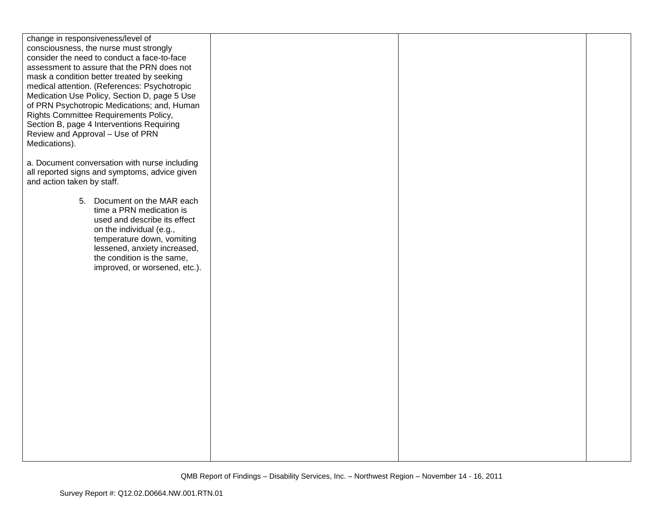| change in responsiveness/level of<br>consciousness, the nurse must strongly<br>consider the need to conduct a face-to-face<br>assessment to assure that the PRN does not<br>mask a condition better treated by seeking<br>medical attention. (References: Psychotropic<br>Medication Use Policy, Section D, page 5 Use<br>of PRN Psychotropic Medications; and, Human<br>Rights Committee Requirements Policy,<br>Section B, page 4 Interventions Requiring<br>Review and Approval - Use of PRN<br>Medications). |  |  |
|------------------------------------------------------------------------------------------------------------------------------------------------------------------------------------------------------------------------------------------------------------------------------------------------------------------------------------------------------------------------------------------------------------------------------------------------------------------------------------------------------------------|--|--|
| a. Document conversation with nurse including<br>all reported signs and symptoms, advice given<br>and action taken by staff.                                                                                                                                                                                                                                                                                                                                                                                     |  |  |
| 5. Document on the MAR each<br>time a PRN medication is<br>used and describe its effect<br>on the individual (e.g.,<br>temperature down, vomiting<br>lessened, anxiety increased,<br>the condition is the same,<br>improved, or worsened, etc.).                                                                                                                                                                                                                                                                 |  |  |
|                                                                                                                                                                                                                                                                                                                                                                                                                                                                                                                  |  |  |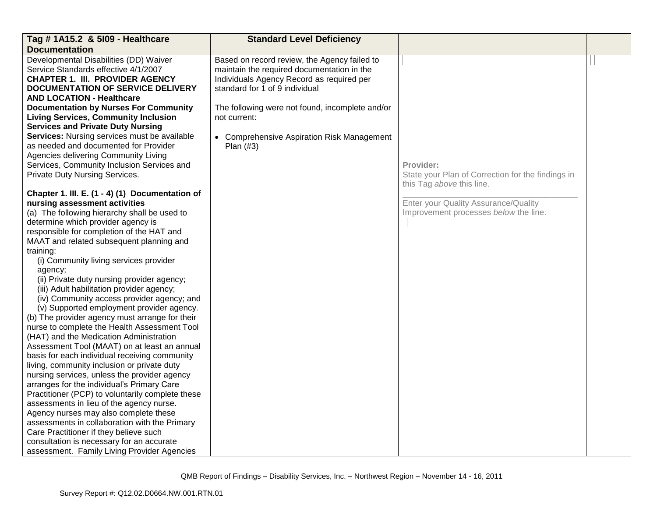| Tag # 1A15.2 & 5109 - Healthcare                 | <b>Standard Level Deficiency</b>                |                                                   |  |
|--------------------------------------------------|-------------------------------------------------|---------------------------------------------------|--|
| <b>Documentation</b>                             |                                                 |                                                   |  |
| Developmental Disabilities (DD) Waiver           | Based on record review, the Agency failed to    |                                                   |  |
| Service Standards effective 4/1/2007             | maintain the required documentation in the      |                                                   |  |
| <b>CHAPTER 1. III. PROVIDER AGENCY</b>           | Individuals Agency Record as required per       |                                                   |  |
| <b>DOCUMENTATION OF SERVICE DELIVERY</b>         | standard for 1 of 9 individual                  |                                                   |  |
| <b>AND LOCATION - Healthcare</b>                 |                                                 |                                                   |  |
| <b>Documentation by Nurses For Community</b>     | The following were not found, incomplete and/or |                                                   |  |
| <b>Living Services, Community Inclusion</b>      | not current:                                    |                                                   |  |
| <b>Services and Private Duty Nursing</b>         |                                                 |                                                   |  |
| Services: Nursing services must be available     | • Comprehensive Aspiration Risk Management      |                                                   |  |
| as needed and documented for Provider            | Plan $(#3)$                                     |                                                   |  |
| Agencies delivering Community Living             |                                                 |                                                   |  |
| Services, Community Inclusion Services and       |                                                 | Provider:                                         |  |
| Private Duty Nursing Services.                   |                                                 | State your Plan of Correction for the findings in |  |
|                                                  |                                                 | this Tag above this line.                         |  |
| Chapter 1. III. E. (1 - 4) (1) Documentation of  |                                                 |                                                   |  |
| nursing assessment activities                    |                                                 | Enter your Quality Assurance/Quality              |  |
| (a) The following hierarchy shall be used to     |                                                 | Improvement processes below the line.             |  |
| determine which provider agency is               |                                                 |                                                   |  |
| responsible for completion of the HAT and        |                                                 |                                                   |  |
| MAAT and related subsequent planning and         |                                                 |                                                   |  |
| training:                                        |                                                 |                                                   |  |
| (i) Community living services provider           |                                                 |                                                   |  |
| agency;                                          |                                                 |                                                   |  |
| (ii) Private duty nursing provider agency;       |                                                 |                                                   |  |
| (iii) Adult habilitation provider agency;        |                                                 |                                                   |  |
| (iv) Community access provider agency; and       |                                                 |                                                   |  |
| (v) Supported employment provider agency.        |                                                 |                                                   |  |
| (b) The provider agency must arrange for their   |                                                 |                                                   |  |
| nurse to complete the Health Assessment Tool     |                                                 |                                                   |  |
| (HAT) and the Medication Administration          |                                                 |                                                   |  |
| Assessment Tool (MAAT) on at least an annual     |                                                 |                                                   |  |
| basis for each individual receiving community    |                                                 |                                                   |  |
| living, community inclusion or private duty      |                                                 |                                                   |  |
| nursing services, unless the provider agency     |                                                 |                                                   |  |
| arranges for the individual's Primary Care       |                                                 |                                                   |  |
| Practitioner (PCP) to voluntarily complete these |                                                 |                                                   |  |
| assessments in lieu of the agency nurse.         |                                                 |                                                   |  |
| Agency nurses may also complete these            |                                                 |                                                   |  |
| assessments in collaboration with the Primary    |                                                 |                                                   |  |
| Care Practitioner if they believe such           |                                                 |                                                   |  |
| consultation is necessary for an accurate        |                                                 |                                                   |  |
| assessment. Family Living Provider Agencies      |                                                 |                                                   |  |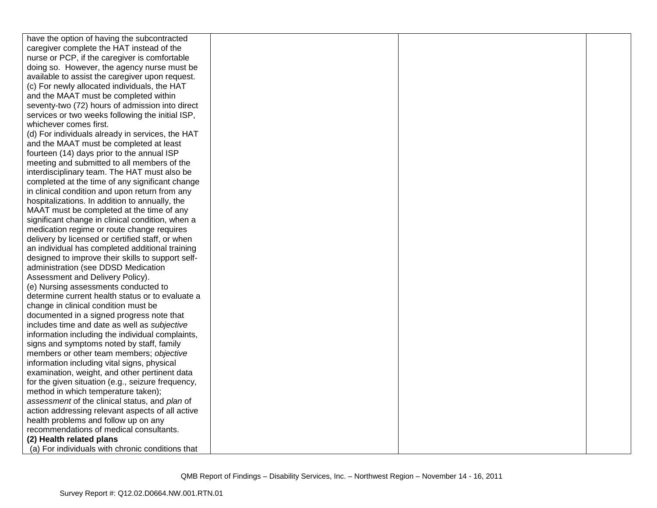| have the option of having the subcontracted       |  |  |
|---------------------------------------------------|--|--|
| caregiver complete the HAT instead of the         |  |  |
| nurse or PCP, if the caregiver is comfortable     |  |  |
| doing so. However, the agency nurse must be       |  |  |
| available to assist the caregiver upon request.   |  |  |
| (c) For newly allocated individuals, the HAT      |  |  |
| and the MAAT must be completed within             |  |  |
| seventy-two (72) hours of admission into direct   |  |  |
| services or two weeks following the initial ISP,  |  |  |
| whichever comes first.                            |  |  |
| (d) For individuals already in services, the HAT  |  |  |
| and the MAAT must be completed at least           |  |  |
| fourteen (14) days prior to the annual ISP        |  |  |
| meeting and submitted to all members of the       |  |  |
| interdisciplinary team. The HAT must also be      |  |  |
| completed at the time of any significant change   |  |  |
| in clinical condition and upon return from any    |  |  |
| hospitalizations. In addition to annually, the    |  |  |
| MAAT must be completed at the time of any         |  |  |
| significant change in clinical condition, when a  |  |  |
| medication regime or route change requires        |  |  |
| delivery by licensed or certified staff, or when  |  |  |
| an individual has completed additional training   |  |  |
| designed to improve their skills to support self- |  |  |
| administration (see DDSD Medication               |  |  |
| Assessment and Delivery Policy).                  |  |  |
| (e) Nursing assessments conducted to              |  |  |
| determine current health status or to evaluate a  |  |  |
| change in clinical condition must be              |  |  |
| documented in a signed progress note that         |  |  |
| includes time and date as well as subjective      |  |  |
| information including the individual complaints,  |  |  |
| signs and symptoms noted by staff, family         |  |  |
| members or other team members; objective          |  |  |
| information including vital signs, physical       |  |  |
| examination, weight, and other pertinent data     |  |  |
| for the given situation (e.g., seizure frequency, |  |  |
| method in which temperature taken);               |  |  |
| assessment of the clinical status, and plan of    |  |  |
| action addressing relevant aspects of all active  |  |  |
| health problems and follow up on any              |  |  |
| recommendations of medical consultants.           |  |  |
| (2) Health related plans                          |  |  |
| (a) For individuals with chronic conditions that  |  |  |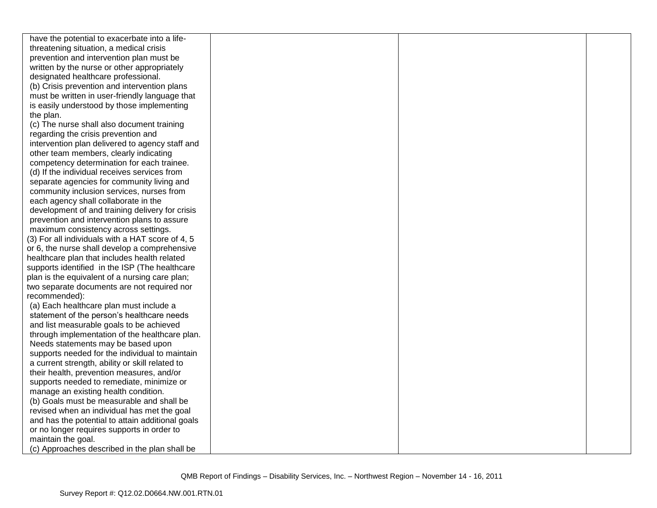| have the potential to exacerbate into a life-    |  |  |
|--------------------------------------------------|--|--|
| threatening situation, a medical crisis          |  |  |
| prevention and intervention plan must be         |  |  |
| written by the nurse or other appropriately      |  |  |
| designated healthcare professional.              |  |  |
| (b) Crisis prevention and intervention plans     |  |  |
| must be written in user-friendly language that   |  |  |
| is easily understood by those implementing       |  |  |
| the plan.                                        |  |  |
| (c) The nurse shall also document training       |  |  |
| regarding the crisis prevention and              |  |  |
| intervention plan delivered to agency staff and  |  |  |
| other team members, clearly indicating           |  |  |
| competency determination for each trainee.       |  |  |
| (d) If the individual receives services from     |  |  |
| separate agencies for community living and       |  |  |
| community inclusion services, nurses from        |  |  |
| each agency shall collaborate in the             |  |  |
| development of and training delivery for crisis  |  |  |
| prevention and intervention plans to assure      |  |  |
| maximum consistency across settings.             |  |  |
| (3) For all individuals with a HAT score of 4, 5 |  |  |
| or 6, the nurse shall develop a comprehensive    |  |  |
| healthcare plan that includes health related     |  |  |
| supports identified in the ISP (The healthcare   |  |  |
| plan is the equivalent of a nursing care plan;   |  |  |
| two separate documents are not required nor      |  |  |
| recommended):                                    |  |  |
| (a) Each healthcare plan must include a          |  |  |
| statement of the person's healthcare needs       |  |  |
| and list measurable goals to be achieved         |  |  |
| through implementation of the healthcare plan.   |  |  |
| Needs statements may be based upon               |  |  |
| supports needed for the individual to maintain   |  |  |
| a current strength, ability or skill related to  |  |  |
| their health, prevention measures, and/or        |  |  |
| supports needed to remediate, minimize or        |  |  |
| manage an existing health condition.             |  |  |
| (b) Goals must be measurable and shall be        |  |  |
| revised when an individual has met the goal      |  |  |
| and has the potential to attain additional goals |  |  |
| or no longer requires supports in order to       |  |  |
| maintain the goal.                               |  |  |
| (c) Approaches described in the plan shall be    |  |  |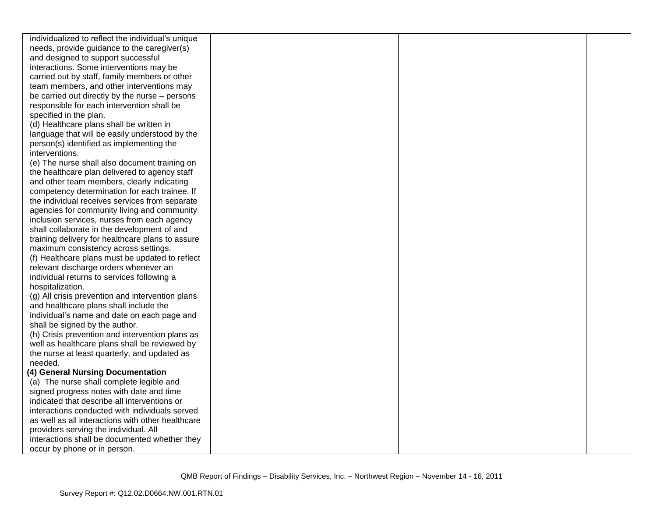| individualized to reflect the individual's unique |  |  |
|---------------------------------------------------|--|--|
| needs, provide guidance to the caregiver(s)       |  |  |
| and designed to support successful                |  |  |
| interactions. Some interventions may be           |  |  |
| carried out by staff, family members or other     |  |  |
| team members, and other interventions may         |  |  |
| be carried out directly by the nurse – persons    |  |  |
| responsible for each intervention shall be        |  |  |
| specified in the plan.                            |  |  |
| (d) Healthcare plans shall be written in          |  |  |
| language that will be easily understood by the    |  |  |
| person(s) identified as implementing the          |  |  |
| interventions.                                    |  |  |
| (e) The nurse shall also document training on     |  |  |
| the healthcare plan delivered to agency staff     |  |  |
| and other team members, clearly indicating        |  |  |
| competency determination for each trainee. If     |  |  |
| the individual receives services from separate    |  |  |
| agencies for community living and community       |  |  |
| inclusion services, nurses from each agency       |  |  |
| shall collaborate in the development of and       |  |  |
| training delivery for healthcare plans to assure  |  |  |
| maximum consistency across settings.              |  |  |
| (f) Healthcare plans must be updated to reflect   |  |  |
| relevant discharge orders whenever an             |  |  |
| individual returns to services following a        |  |  |
| hospitalization.                                  |  |  |
| (g) All crisis prevention and intervention plans  |  |  |
| and healthcare plans shall include the            |  |  |
| individual's name and date on each page and       |  |  |
| shall be signed by the author.                    |  |  |
| (h) Crisis prevention and intervention plans as   |  |  |
| well as healthcare plans shall be reviewed by     |  |  |
| the nurse at least quarterly, and updated as      |  |  |
| needed.                                           |  |  |
| (4) General Nursing Documentation                 |  |  |
| (a) The nurse shall complete legible and          |  |  |
| signed progress notes with date and time          |  |  |
| indicated that describe all interventions or      |  |  |
| interactions conducted with individuals served    |  |  |
| as well as all interactions with other healthcare |  |  |
| providers serving the individual. All             |  |  |
| interactions shall be documented whether they     |  |  |
| occur by phone or in person.                      |  |  |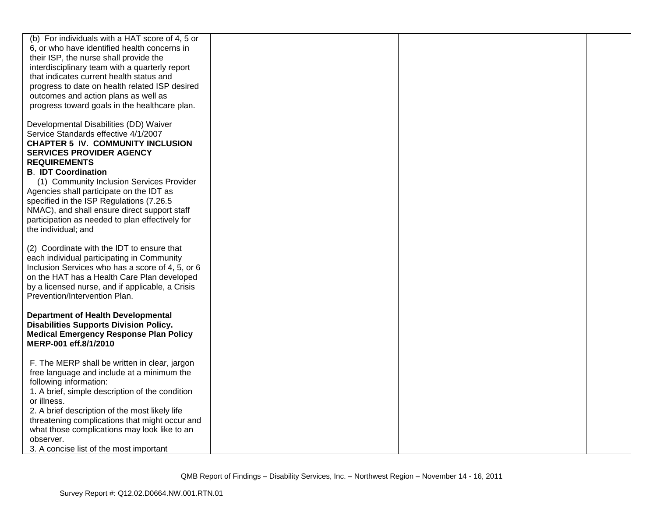| (b) For individuals with a HAT score of 4, 5 or<br>6, or who have identified health concerns in<br>their ISP, the nurse shall provide the<br>interdisciplinary team with a quarterly report<br>that indicates current health status and<br>progress to date on health related ISP desired<br>outcomes and action plans as well as<br>progress toward goals in the healthcare plan.                                                                                                |  |  |
|-----------------------------------------------------------------------------------------------------------------------------------------------------------------------------------------------------------------------------------------------------------------------------------------------------------------------------------------------------------------------------------------------------------------------------------------------------------------------------------|--|--|
| Developmental Disabilities (DD) Waiver<br>Service Standards effective 4/1/2007<br><b>CHAPTER 5 IV. COMMUNITY INCLUSION</b><br><b>SERVICES PROVIDER AGENCY</b><br><b>REQUIREMENTS</b><br><b>B. IDT Coordination</b><br>(1) Community Inclusion Services Provider<br>Agencies shall participate on the IDT as<br>specified in the ISP Regulations (7.26.5<br>NMAC), and shall ensure direct support staff<br>participation as needed to plan effectively for<br>the individual; and |  |  |
| (2) Coordinate with the IDT to ensure that<br>each individual participating in Community<br>Inclusion Services who has a score of 4, 5, or 6<br>on the HAT has a Health Care Plan developed<br>by a licensed nurse, and if applicable, a Crisis<br>Prevention/Intervention Plan.                                                                                                                                                                                                  |  |  |
| <b>Department of Health Developmental</b><br><b>Disabilities Supports Division Policy.</b><br><b>Medical Emergency Response Plan Policy</b><br>MERP-001 eff.8/1/2010                                                                                                                                                                                                                                                                                                              |  |  |
| F. The MERP shall be written in clear, jargon<br>free language and include at a minimum the<br>following information:<br>1. A brief, simple description of the condition<br>or illness.<br>2. A brief description of the most likely life<br>threatening complications that might occur and<br>what those complications may look like to an<br>observer.<br>3. A concise list of the most important                                                                               |  |  |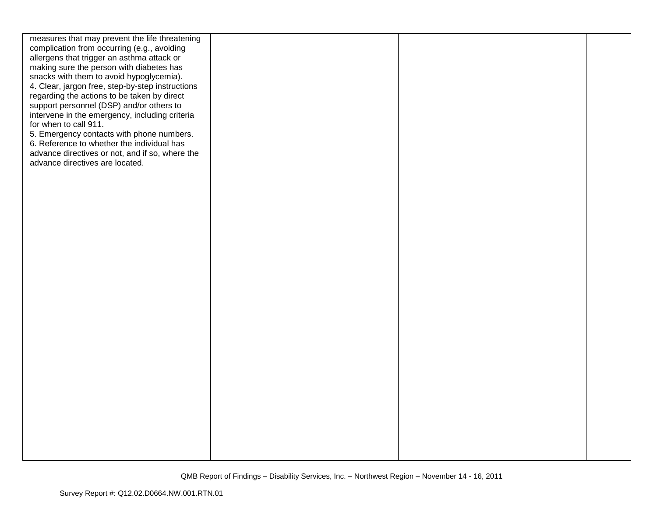| measures that may prevent the life threatening   |  |  |
|--------------------------------------------------|--|--|
| complication from occurring (e.g., avoiding      |  |  |
| allergens that trigger an asthma attack or       |  |  |
| making sure the person with diabetes has         |  |  |
| snacks with them to avoid hypoglycemia).         |  |  |
| 4. Clear, jargon free, step-by-step instructions |  |  |
| regarding the actions to be taken by direct      |  |  |
| support personnel (DSP) and/or others to         |  |  |
| intervene in the emergency, including criteria   |  |  |
| for when to call 911.                            |  |  |
| 5. Emergency contacts with phone numbers.        |  |  |
| 6. Reference to whether the individual has       |  |  |
| advance directives or not, and if so, where the  |  |  |
| advance directives are located.                  |  |  |
|                                                  |  |  |
|                                                  |  |  |
|                                                  |  |  |
|                                                  |  |  |
|                                                  |  |  |
|                                                  |  |  |
|                                                  |  |  |
|                                                  |  |  |
|                                                  |  |  |
|                                                  |  |  |
|                                                  |  |  |
|                                                  |  |  |
|                                                  |  |  |
|                                                  |  |  |
|                                                  |  |  |
|                                                  |  |  |
|                                                  |  |  |
|                                                  |  |  |
|                                                  |  |  |
|                                                  |  |  |
|                                                  |  |  |
|                                                  |  |  |
|                                                  |  |  |
|                                                  |  |  |
|                                                  |  |  |
|                                                  |  |  |
|                                                  |  |  |
|                                                  |  |  |
|                                                  |  |  |
|                                                  |  |  |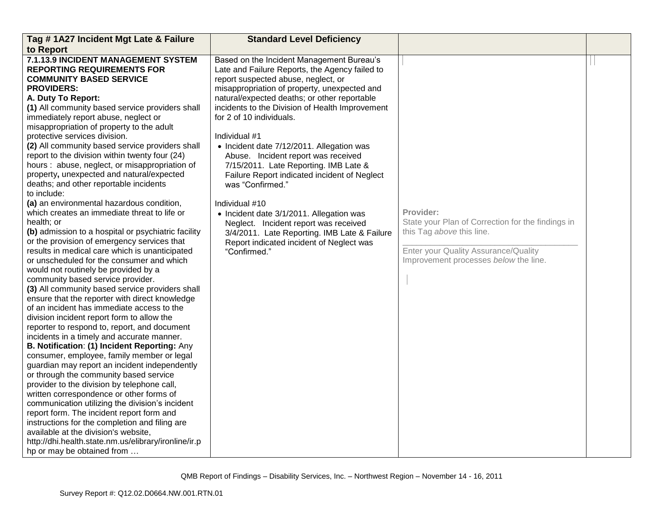| Tag # 1A27 Incident Mgt Late & Failure                                                                                                                                                                                                                                                                                                                                                                                                                                                                                                                                                                                                                                                                                                                                                                                                                                                                                                                                                                                                                                                                                                                                                                                                                                                                                                                                                                                                                                                                                                                                                                                                                                                                                                                               | <b>Standard Level Deficiency</b>                                                                                                                                                                                                                                                                                                                                                                                                                                                                                                                                                                                                                                                                                                                       |                                                                                                                                                                              |  |
|----------------------------------------------------------------------------------------------------------------------------------------------------------------------------------------------------------------------------------------------------------------------------------------------------------------------------------------------------------------------------------------------------------------------------------------------------------------------------------------------------------------------------------------------------------------------------------------------------------------------------------------------------------------------------------------------------------------------------------------------------------------------------------------------------------------------------------------------------------------------------------------------------------------------------------------------------------------------------------------------------------------------------------------------------------------------------------------------------------------------------------------------------------------------------------------------------------------------------------------------------------------------------------------------------------------------------------------------------------------------------------------------------------------------------------------------------------------------------------------------------------------------------------------------------------------------------------------------------------------------------------------------------------------------------------------------------------------------------------------------------------------------|--------------------------------------------------------------------------------------------------------------------------------------------------------------------------------------------------------------------------------------------------------------------------------------------------------------------------------------------------------------------------------------------------------------------------------------------------------------------------------------------------------------------------------------------------------------------------------------------------------------------------------------------------------------------------------------------------------------------------------------------------------|------------------------------------------------------------------------------------------------------------------------------------------------------------------------------|--|
| to Report                                                                                                                                                                                                                                                                                                                                                                                                                                                                                                                                                                                                                                                                                                                                                                                                                                                                                                                                                                                                                                                                                                                                                                                                                                                                                                                                                                                                                                                                                                                                                                                                                                                                                                                                                            |                                                                                                                                                                                                                                                                                                                                                                                                                                                                                                                                                                                                                                                                                                                                                        |                                                                                                                                                                              |  |
| 7.1.13.9 INCIDENT MANAGEMENT SYSTEM<br><b>REPORTING REQUIREMENTS FOR</b><br><b>COMMUNITY BASED SERVICE</b><br><b>PROVIDERS:</b><br>A. Duty To Report:<br>(1) All community based service providers shall<br>immediately report abuse, neglect or<br>misappropriation of property to the adult<br>protective services division.<br>(2) All community based service providers shall<br>report to the division within twenty four (24)<br>hours: abuse, neglect, or misappropriation of<br>property, unexpected and natural/expected<br>deaths; and other reportable incidents<br>to include:<br>(a) an environmental hazardous condition,<br>which creates an immediate threat to life or<br>health; or<br>(b) admission to a hospital or psychiatric facility<br>or the provision of emergency services that<br>results in medical care which is unanticipated<br>or unscheduled for the consumer and which<br>would not routinely be provided by a<br>community based service provider.<br>(3) All community based service providers shall<br>ensure that the reporter with direct knowledge<br>of an incident has immediate access to the<br>division incident report form to allow the<br>reporter to respond to, report, and document<br>incidents in a timely and accurate manner.<br>B. Notification: (1) Incident Reporting: Any<br>consumer, employee, family member or legal<br>guardian may report an incident independently<br>or through the community based service<br>provider to the division by telephone call,<br>written correspondence or other forms of<br>communication utilizing the division's incident<br>report form. The incident report form and<br>instructions for the completion and filing are<br>available at the division's website, | Based on the Incident Management Bureau's<br>Late and Failure Reports, the Agency failed to<br>report suspected abuse, neglect, or<br>misappropriation of property, unexpected and<br>natural/expected deaths; or other reportable<br>incidents to the Division of Health Improvement<br>for 2 of 10 individuals.<br>Individual #1<br>• Incident date 7/12/2011. Allegation was<br>Abuse. Incident report was received<br>7/15/2011. Late Reporting. IMB Late &<br>Failure Report indicated incident of Neglect<br>was "Confirmed."<br>Individual #10<br>• Incident date 3/1/2011. Allegation was<br>Neglect. Incident report was received<br>3/4/2011. Late Reporting. IMB Late & Failure<br>Report indicated incident of Neglect was<br>"Confirmed." | Provider:<br>State your Plan of Correction for the findings in<br>this Tag above this line.<br>Enter your Quality Assurance/Quality<br>Improvement processes below the line. |  |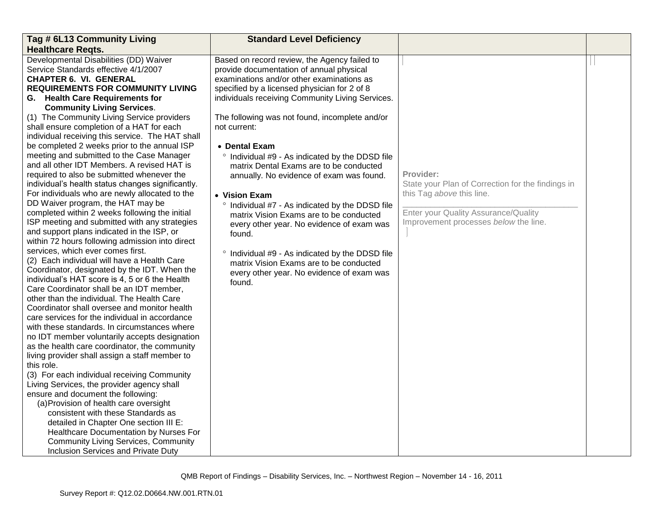| Tag # 6L13 Community Living                                                                                                                                                                                                                                                                                                                                                                                                                                                                                                                                                                                                                                                                                                                                 | <b>Standard Level Deficiency</b>                                                                                                                                                                                                                                                                                                                                                                                                                                |                                                                                                                                                                              |  |
|-------------------------------------------------------------------------------------------------------------------------------------------------------------------------------------------------------------------------------------------------------------------------------------------------------------------------------------------------------------------------------------------------------------------------------------------------------------------------------------------------------------------------------------------------------------------------------------------------------------------------------------------------------------------------------------------------------------------------------------------------------------|-----------------------------------------------------------------------------------------------------------------------------------------------------------------------------------------------------------------------------------------------------------------------------------------------------------------------------------------------------------------------------------------------------------------------------------------------------------------|------------------------------------------------------------------------------------------------------------------------------------------------------------------------------|--|
| <b>Healthcare Regts.</b>                                                                                                                                                                                                                                                                                                                                                                                                                                                                                                                                                                                                                                                                                                                                    |                                                                                                                                                                                                                                                                                                                                                                                                                                                                 |                                                                                                                                                                              |  |
| Developmental Disabilities (DD) Waiver<br>Service Standards effective 4/1/2007<br><b>CHAPTER 6. VI. GENERAL</b><br><b>REQUIREMENTS FOR COMMUNITY LIVING</b><br>G. Health Care Requirements for<br><b>Community Living Services.</b>                                                                                                                                                                                                                                                                                                                                                                                                                                                                                                                         | Based on record review, the Agency failed to<br>provide documentation of annual physical<br>examinations and/or other examinations as<br>specified by a licensed physician for 2 of 8<br>individuals receiving Community Living Services.                                                                                                                                                                                                                       |                                                                                                                                                                              |  |
| (1) The Community Living Service providers<br>shall ensure completion of a HAT for each<br>individual receiving this service. The HAT shall<br>be completed 2 weeks prior to the annual ISP                                                                                                                                                                                                                                                                                                                                                                                                                                                                                                                                                                 | The following was not found, incomplete and/or<br>not current:<br>• Dental Exam                                                                                                                                                                                                                                                                                                                                                                                 |                                                                                                                                                                              |  |
| meeting and submitted to the Case Manager<br>and all other IDT Members. A revised HAT is<br>required to also be submitted whenever the<br>individual's health status changes significantly.<br>For individuals who are newly allocated to the<br>DD Waiver program, the HAT may be<br>completed within 2 weeks following the initial<br>ISP meeting and submitted with any strategies<br>and support plans indicated in the ISP, or<br>within 72 hours following admission into direct<br>services, which ever comes first.<br>(2) Each individual will have a Health Care<br>Coordinator, designated by the IDT. When the<br>individual's HAT score is 4, 5 or 6 the Health<br>Care Coordinator shall be an IDT member,                                    | ° Individual #9 - As indicated by the DDSD file<br>matrix Dental Exams are to be conducted<br>annually. No evidence of exam was found.<br>• Vision Exam<br>Individual #7 - As indicated by the DDSD file<br>matrix Vision Exams are to be conducted<br>every other year. No evidence of exam was<br>found.<br>° Individual #9 - As indicated by the DDSD file<br>matrix Vision Exams are to be conducted<br>every other year. No evidence of exam was<br>found. | Provider:<br>State your Plan of Correction for the findings in<br>this Tag above this line.<br>Enter your Quality Assurance/Quality<br>Improvement processes below the line. |  |
| other than the individual. The Health Care<br>Coordinator shall oversee and monitor health<br>care services for the individual in accordance<br>with these standards. In circumstances where<br>no IDT member voluntarily accepts designation<br>as the health care coordinator, the community<br>living provider shall assign a staff member to<br>this role.<br>(3) For each individual receiving Community<br>Living Services, the provider agency shall<br>ensure and document the following:<br>(a) Provision of health care oversight<br>consistent with these Standards as<br>detailed in Chapter One section III E:<br>Healthcare Documentation by Nurses For<br><b>Community Living Services, Community</b><br>Inclusion Services and Private Duty |                                                                                                                                                                                                                                                                                                                                                                                                                                                                 |                                                                                                                                                                              |  |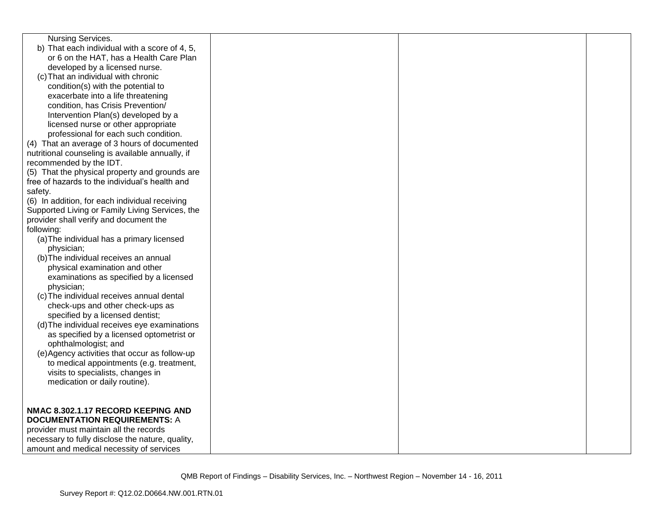| <b>Nursing Services.</b>                         |  |  |
|--------------------------------------------------|--|--|
| b) That each individual with a score of 4, 5,    |  |  |
| or 6 on the HAT, has a Health Care Plan          |  |  |
| developed by a licensed nurse.                   |  |  |
| (c) That an individual with chronic              |  |  |
| condition(s) with the potential to               |  |  |
| exacerbate into a life threatening               |  |  |
| condition, has Crisis Prevention/                |  |  |
| Intervention Plan(s) developed by a              |  |  |
| licensed nurse or other appropriate              |  |  |
| professional for each such condition.            |  |  |
| (4) That an average of 3 hours of documented     |  |  |
| nutritional counseling is available annually, if |  |  |
| recommended by the IDT.                          |  |  |
| (5) That the physical property and grounds are   |  |  |
| free of hazards to the individual's health and   |  |  |
| safety.                                          |  |  |
| (6) In addition, for each individual receiving   |  |  |
| Supported Living or Family Living Services, the  |  |  |
| provider shall verify and document the           |  |  |
| following:                                       |  |  |
| (a) The individual has a primary licensed        |  |  |
| physician;                                       |  |  |
| (b) The individual receives an annual            |  |  |
| physical examination and other                   |  |  |
| examinations as specified by a licensed          |  |  |
| physician;                                       |  |  |
| (c) The individual receives annual dental        |  |  |
| check-ups and other check-ups as                 |  |  |
| specified by a licensed dentist;                 |  |  |
| (d) The individual receives eye examinations     |  |  |
| as specified by a licensed optometrist or        |  |  |
| ophthalmologist; and                             |  |  |
| (e) Agency activities that occur as follow-up    |  |  |
| to medical appointments (e.g. treatment,         |  |  |
| visits to specialists, changes in                |  |  |
| medication or daily routine).                    |  |  |
|                                                  |  |  |
|                                                  |  |  |
| NMAC 8.302.1.17 RECORD KEEPING AND               |  |  |
| <b>DOCUMENTATION REQUIREMENTS: A</b>             |  |  |
| provider must maintain all the records           |  |  |
| necessary to fully disclose the nature, quality, |  |  |
| amount and medical necessity of services         |  |  |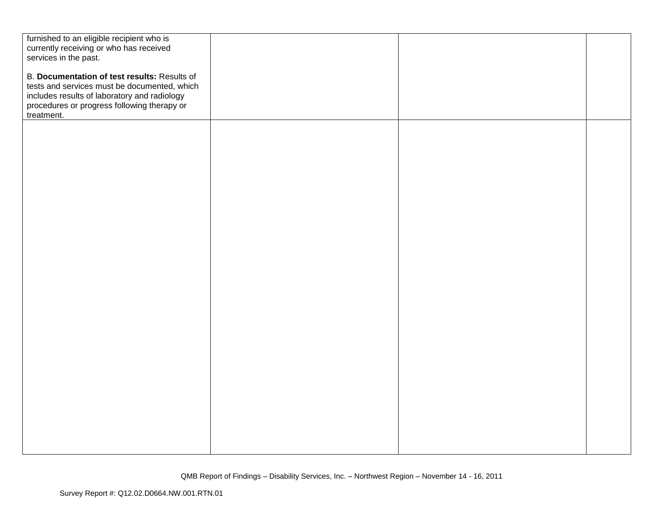| furnished to an eligible recipient who is    |  |  |
|----------------------------------------------|--|--|
| currently receiving or who has received      |  |  |
| services in the past.                        |  |  |
|                                              |  |  |
| B. Documentation of test results: Results of |  |  |
| tests and services must be documented, which |  |  |
| includes results of laboratory and radiology |  |  |
| procedures or progress following therapy or  |  |  |
| treatment.                                   |  |  |
|                                              |  |  |
|                                              |  |  |
|                                              |  |  |
|                                              |  |  |
|                                              |  |  |
|                                              |  |  |
|                                              |  |  |
|                                              |  |  |
|                                              |  |  |
|                                              |  |  |
|                                              |  |  |
|                                              |  |  |
|                                              |  |  |
|                                              |  |  |
|                                              |  |  |
|                                              |  |  |
|                                              |  |  |
|                                              |  |  |
|                                              |  |  |
|                                              |  |  |
|                                              |  |  |
|                                              |  |  |
|                                              |  |  |
|                                              |  |  |
|                                              |  |  |
|                                              |  |  |
|                                              |  |  |
|                                              |  |  |
|                                              |  |  |
|                                              |  |  |
|                                              |  |  |
|                                              |  |  |
|                                              |  |  |
|                                              |  |  |
|                                              |  |  |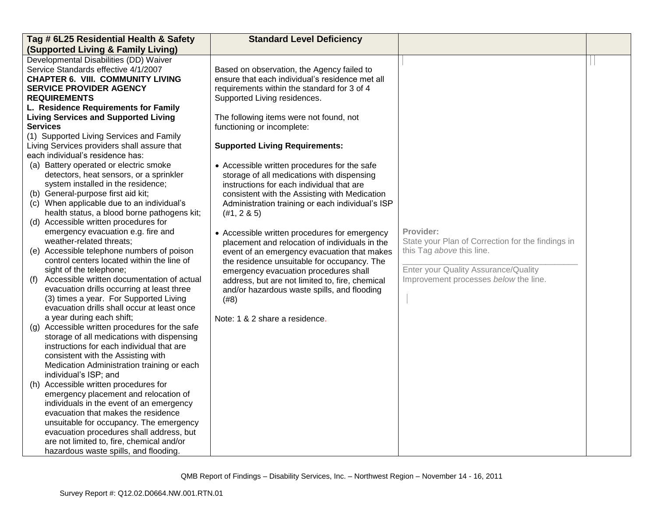| Tag # 6L25 Residential Health & Safety                                                                                                                                                                                                                                                                                                                                                                                                                                                                                                                                                                                                                                      | <b>Standard Level Deficiency</b>                                                                                                                                                                                                                                                                                                                                                                                                                                                                                                                                                                                                                  |                                                                                                                                                                              |  |
|-----------------------------------------------------------------------------------------------------------------------------------------------------------------------------------------------------------------------------------------------------------------------------------------------------------------------------------------------------------------------------------------------------------------------------------------------------------------------------------------------------------------------------------------------------------------------------------------------------------------------------------------------------------------------------|---------------------------------------------------------------------------------------------------------------------------------------------------------------------------------------------------------------------------------------------------------------------------------------------------------------------------------------------------------------------------------------------------------------------------------------------------------------------------------------------------------------------------------------------------------------------------------------------------------------------------------------------------|------------------------------------------------------------------------------------------------------------------------------------------------------------------------------|--|
| (Supported Living & Family Living)                                                                                                                                                                                                                                                                                                                                                                                                                                                                                                                                                                                                                                          |                                                                                                                                                                                                                                                                                                                                                                                                                                                                                                                                                                                                                                                   |                                                                                                                                                                              |  |
| Developmental Disabilities (DD) Waiver<br>Service Standards effective 4/1/2007<br><b>CHAPTER 6. VIII. COMMUNITY LIVING</b><br><b>SERVICE PROVIDER AGENCY</b><br><b>REQUIREMENTS</b><br>L. Residence Requirements for Family<br><b>Living Services and Supported Living</b><br><b>Services</b><br>(1) Supported Living Services and Family<br>Living Services providers shall assure that<br>each individual's residence has:<br>(a) Battery operated or electric smoke                                                                                                                                                                                                      | Based on observation, the Agency failed to<br>ensure that each individual's residence met all<br>requirements within the standard for 3 of 4<br>Supported Living residences.<br>The following items were not found, not<br>functioning or incomplete:<br><b>Supported Living Requirements:</b>                                                                                                                                                                                                                                                                                                                                                    |                                                                                                                                                                              |  |
| detectors, heat sensors, or a sprinkler<br>system installed in the residence;<br>(b) General-purpose first aid kit;<br>(c) When applicable due to an individual's<br>health status, a blood borne pathogens kit;<br>(d) Accessible written procedures for<br>emergency evacuation e.g. fire and<br>weather-related threats;<br>(e) Accessible telephone numbers of poison<br>control centers located within the line of<br>sight of the telephone;<br>Accessible written documentation of actual<br>(f)<br>evacuation drills occurring at least three<br>(3) times a year. For Supported Living<br>evacuation drills shall occur at least once<br>a year during each shift; | • Accessible written procedures for the safe<br>storage of all medications with dispensing<br>instructions for each individual that are<br>consistent with the Assisting with Medication<br>Administration training or each individual's ISP<br>(#1, 2 8 5)<br>• Accessible written procedures for emergency<br>placement and relocation of individuals in the<br>event of an emergency evacuation that makes<br>the residence unsuitable for occupancy. The<br>emergency evacuation procedures shall<br>address, but are not limited to, fire, chemical<br>and/or hazardous waste spills, and flooding<br>(#8)<br>Note: 1 & 2 share a residence. | Provider:<br>State your Plan of Correction for the findings in<br>this Tag above this line.<br>Enter your Quality Assurance/Quality<br>Improvement processes below the line. |  |
| (g) Accessible written procedures for the safe<br>storage of all medications with dispensing<br>instructions for each individual that are<br>consistent with the Assisting with<br>Medication Administration training or each<br>individual's ISP; and<br>(h) Accessible written procedures for<br>emergency placement and relocation of<br>individuals in the event of an emergency<br>evacuation that makes the residence<br>unsuitable for occupancy. The emergency<br>evacuation procedures shall address, but<br>are not limited to, fire, chemical and/or<br>hazardous waste spills, and flooding.                                                                    |                                                                                                                                                                                                                                                                                                                                                                                                                                                                                                                                                                                                                                                   |                                                                                                                                                                              |  |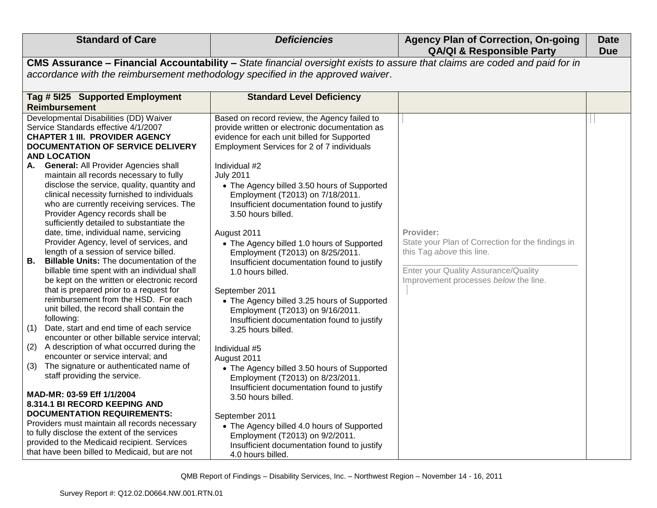| <b>Standard of Care</b>                                                                                                                                                                                                                                                                                                                                                                                                                                                                                                                                                                                                                                                                                                                                                                                                                                                                                                                                                                                                                                                                                                                                                                                                                                                                                                                                                                                                                                                                                                                                   | <b>Deficiencies</b>                                                                                                                                                                                                                                                                                                                                                                                                                                                                                                                                                                                                                                                                                                                                                                                                                                                                                                                                                                                                                                                                                    | <b>Agency Plan of Correction, On-going</b><br><b>QA/QI &amp; Responsible Party</b>                                                                                           | <b>Date</b><br><b>Due</b> |
|-----------------------------------------------------------------------------------------------------------------------------------------------------------------------------------------------------------------------------------------------------------------------------------------------------------------------------------------------------------------------------------------------------------------------------------------------------------------------------------------------------------------------------------------------------------------------------------------------------------------------------------------------------------------------------------------------------------------------------------------------------------------------------------------------------------------------------------------------------------------------------------------------------------------------------------------------------------------------------------------------------------------------------------------------------------------------------------------------------------------------------------------------------------------------------------------------------------------------------------------------------------------------------------------------------------------------------------------------------------------------------------------------------------------------------------------------------------------------------------------------------------------------------------------------------------|--------------------------------------------------------------------------------------------------------------------------------------------------------------------------------------------------------------------------------------------------------------------------------------------------------------------------------------------------------------------------------------------------------------------------------------------------------------------------------------------------------------------------------------------------------------------------------------------------------------------------------------------------------------------------------------------------------------------------------------------------------------------------------------------------------------------------------------------------------------------------------------------------------------------------------------------------------------------------------------------------------------------------------------------------------------------------------------------------------|------------------------------------------------------------------------------------------------------------------------------------------------------------------------------|---------------------------|
|                                                                                                                                                                                                                                                                                                                                                                                                                                                                                                                                                                                                                                                                                                                                                                                                                                                                                                                                                                                                                                                                                                                                                                                                                                                                                                                                                                                                                                                                                                                                                           | CMS Assurance - Financial Accountability - State financial oversight exists to assure that claims are coded and paid for in                                                                                                                                                                                                                                                                                                                                                                                                                                                                                                                                                                                                                                                                                                                                                                                                                                                                                                                                                                            |                                                                                                                                                                              |                           |
| accordance with the reimbursement methodology specified in the approved waiver.                                                                                                                                                                                                                                                                                                                                                                                                                                                                                                                                                                                                                                                                                                                                                                                                                                                                                                                                                                                                                                                                                                                                                                                                                                                                                                                                                                                                                                                                           |                                                                                                                                                                                                                                                                                                                                                                                                                                                                                                                                                                                                                                                                                                                                                                                                                                                                                                                                                                                                                                                                                                        |                                                                                                                                                                              |                           |
| Tag # 5125 Supported Employment<br><b>Reimbursement</b>                                                                                                                                                                                                                                                                                                                                                                                                                                                                                                                                                                                                                                                                                                                                                                                                                                                                                                                                                                                                                                                                                                                                                                                                                                                                                                                                                                                                                                                                                                   | <b>Standard Level Deficiency</b>                                                                                                                                                                                                                                                                                                                                                                                                                                                                                                                                                                                                                                                                                                                                                                                                                                                                                                                                                                                                                                                                       |                                                                                                                                                                              |                           |
| Developmental Disabilities (DD) Waiver<br>Service Standards effective 4/1/2007<br><b>CHAPTER 1 III. PROVIDER AGENCY</b><br><b>DOCUMENTATION OF SERVICE DELIVERY</b><br><b>AND LOCATION</b><br><b>General: All Provider Agencies shall</b><br>А.<br>maintain all records necessary to fully<br>disclose the service, quality, quantity and<br>clinical necessity furnished to individuals<br>who are currently receiving services. The<br>Provider Agency records shall be<br>sufficiently detailed to substantiate the<br>date, time, individual name, servicing<br>Provider Agency, level of services, and<br>length of a session of service billed.<br><b>B.</b><br><b>Billable Units:</b> The documentation of the<br>billable time spent with an individual shall<br>be kept on the written or electronic record<br>that is prepared prior to a request for<br>reimbursement from the HSD. For each<br>unit billed, the record shall contain the<br>following:<br>(1)<br>Date, start and end time of each service<br>encounter or other billable service interval;<br>A description of what occurred during the<br>(2)<br>encounter or service interval; and<br>The signature or authenticated name of<br>(3)<br>staff providing the service.<br>MAD-MR: 03-59 Eff 1/1/2004<br>8.314.1 BI RECORD KEEPING AND<br><b>DOCUMENTATION REQUIREMENTS:</b><br>Providers must maintain all records necessary<br>to fully disclose the extent of the services<br>provided to the Medicaid recipient. Services<br>that have been billed to Medicaid, but are not | Based on record review, the Agency failed to<br>provide written or electronic documentation as<br>evidence for each unit billed for Supported<br>Employment Services for 2 of 7 individuals<br>Individual #2<br><b>July 2011</b><br>• The Agency billed 3.50 hours of Supported<br>Employment (T2013) on 7/18/2011.<br>Insufficient documentation found to justify<br>3.50 hours billed.<br>August 2011<br>• The Agency billed 1.0 hours of Supported<br>Employment (T2013) on 8/25/2011.<br>Insufficient documentation found to justify<br>1.0 hours billed.<br>September 2011<br>• The Agency billed 3.25 hours of Supported<br>Employment (T2013) on 9/16/2011.<br>Insufficient documentation found to justify<br>3.25 hours billed.<br>Individual #5<br>August 2011<br>• The Agency billed 3.50 hours of Supported<br>Employment (T2013) on 8/23/2011.<br>Insufficient documentation found to justify<br>3.50 hours billed.<br>September 2011<br>• The Agency billed 4.0 hours of Supported<br>Employment (T2013) on 9/2/2011.<br>Insufficient documentation found to justify<br>4.0 hours billed. | Provider:<br>State your Plan of Correction for the findings in<br>this Tag above this line.<br>Enter your Quality Assurance/Quality<br>Improvement processes below the line. |                           |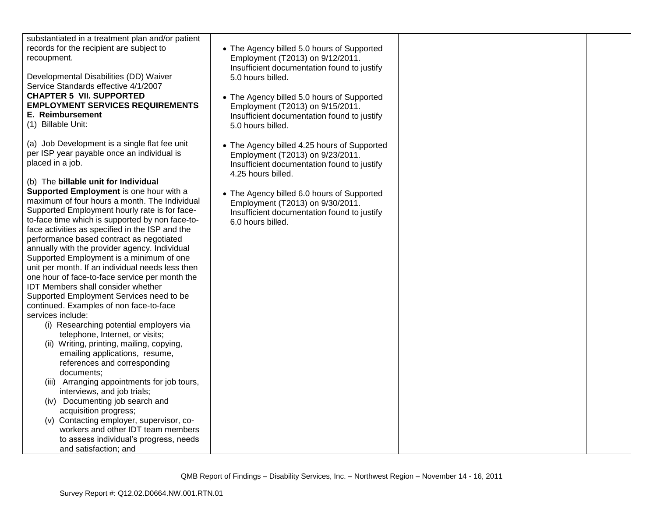| substantiated in a treatment plan and/or patient |                                                                  |  |
|--------------------------------------------------|------------------------------------------------------------------|--|
| records for the recipient are subject to         | • The Agency billed 5.0 hours of Supported                       |  |
| recoupment.                                      | Employment (T2013) on 9/12/2011.                                 |  |
|                                                  | Insufficient documentation found to justify                      |  |
| Developmental Disabilities (DD) Waiver           | 5.0 hours billed.                                                |  |
| Service Standards effective 4/1/2007             |                                                                  |  |
| <b>CHAPTER 5 VII. SUPPORTED</b>                  | • The Agency billed 5.0 hours of Supported                       |  |
| <b>EMPLOYMENT SERVICES REQUIREMENTS</b>          | Employment (T2013) on 9/15/2011.                                 |  |
| E. Reimbursement                                 | Insufficient documentation found to justify                      |  |
| (1) Billable Unit:                               | 5.0 hours billed.                                                |  |
|                                                  |                                                                  |  |
| (a) Job Development is a single flat fee unit    | • The Agency billed 4.25 hours of Supported                      |  |
| per ISP year payable once an individual is       | Employment (T2013) on 9/23/2011.                                 |  |
| placed in a job.                                 | Insufficient documentation found to justify                      |  |
|                                                  | 4.25 hours billed.                                               |  |
| (b) The billable unit for Individual             |                                                                  |  |
| Supported Employment is one hour with a          | • The Agency billed 6.0 hours of Supported                       |  |
| maximum of four hours a month. The Individual    | Employment (T2013) on 9/30/2011.                                 |  |
| Supported Employment hourly rate is for face-    |                                                                  |  |
| to-face time which is supported by non face-to-  | Insufficient documentation found to justify<br>6.0 hours billed. |  |
| face activities as specified in the ISP and the  |                                                                  |  |
| performance based contract as negotiated         |                                                                  |  |
| annually with the provider agency. Individual    |                                                                  |  |
| Supported Employment is a minimum of one         |                                                                  |  |
| unit per month. If an individual needs less then |                                                                  |  |
| one hour of face-to-face service per month the   |                                                                  |  |
| IDT Members shall consider whether               |                                                                  |  |
| Supported Employment Services need to be         |                                                                  |  |
| continued. Examples of non face-to-face          |                                                                  |  |
| services include:                                |                                                                  |  |
| (i) Researching potential employers via          |                                                                  |  |
| telephone, Internet, or visits;                  |                                                                  |  |
| (ii) Writing, printing, mailing, copying,        |                                                                  |  |
| emailing applications, resume,                   |                                                                  |  |
| references and corresponding                     |                                                                  |  |
| documents;                                       |                                                                  |  |
| (iii) Arranging appointments for job tours,      |                                                                  |  |
|                                                  |                                                                  |  |
| interviews, and job trials;                      |                                                                  |  |
| (iv) Documenting job search and                  |                                                                  |  |
| acquisition progress;                            |                                                                  |  |
| (v) Contacting employer, supervisor, co-         |                                                                  |  |
| workers and other IDT team members               |                                                                  |  |
| to assess individual's progress, needs           |                                                                  |  |
| and satisfaction; and                            |                                                                  |  |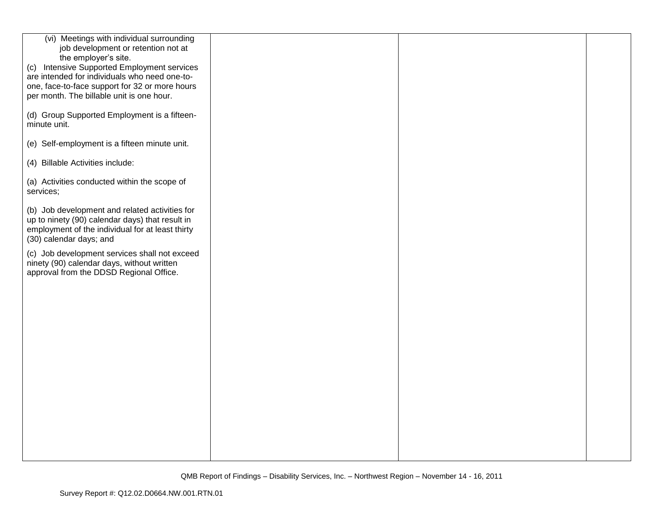| (vi) Meetings with individual surrounding<br>job development or retention not at<br>the employer's site.<br>(c) Intensive Supported Employment services<br>are intended for individuals who need one-to-<br>one, face-to-face support for 32 or more hours<br>per month. The billable unit is one hour. |  |  |
|---------------------------------------------------------------------------------------------------------------------------------------------------------------------------------------------------------------------------------------------------------------------------------------------------------|--|--|
| (d) Group Supported Employment is a fifteen-<br>minute unit.                                                                                                                                                                                                                                            |  |  |
| (e) Self-employment is a fifteen minute unit.                                                                                                                                                                                                                                                           |  |  |
| (4) Billable Activities include:                                                                                                                                                                                                                                                                        |  |  |
| (a) Activities conducted within the scope of<br>services;                                                                                                                                                                                                                                               |  |  |
| (b) Job development and related activities for<br>up to ninety (90) calendar days) that result in<br>employment of the individual for at least thirty<br>(30) calendar days; and                                                                                                                        |  |  |
| (c) Job development services shall not exceed<br>ninety (90) calendar days, without written<br>approval from the DDSD Regional Office.                                                                                                                                                                  |  |  |
|                                                                                                                                                                                                                                                                                                         |  |  |
|                                                                                                                                                                                                                                                                                                         |  |  |
|                                                                                                                                                                                                                                                                                                         |  |  |
|                                                                                                                                                                                                                                                                                                         |  |  |
|                                                                                                                                                                                                                                                                                                         |  |  |
|                                                                                                                                                                                                                                                                                                         |  |  |
|                                                                                                                                                                                                                                                                                                         |  |  |
|                                                                                                                                                                                                                                                                                                         |  |  |
|                                                                                                                                                                                                                                                                                                         |  |  |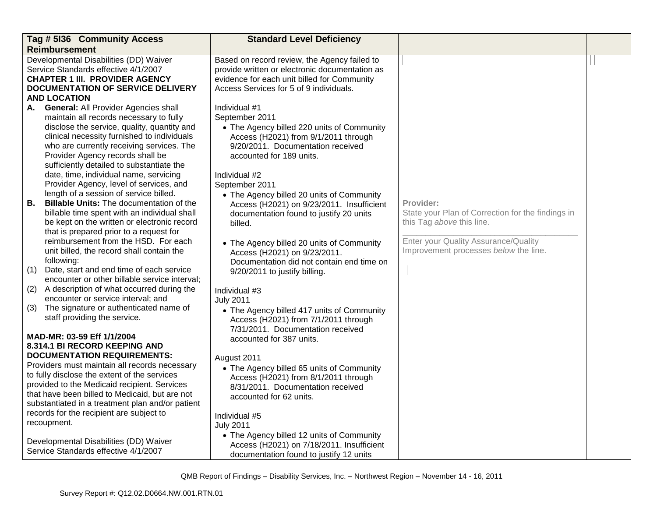| Tag # 5136 Community Access                                                                                                                                                                                                                                                                                                                                               | <b>Standard Level Deficiency</b>                                                                                                                                                                                                            |                                                                                                                                                                              |  |
|---------------------------------------------------------------------------------------------------------------------------------------------------------------------------------------------------------------------------------------------------------------------------------------------------------------------------------------------------------------------------|---------------------------------------------------------------------------------------------------------------------------------------------------------------------------------------------------------------------------------------------|------------------------------------------------------------------------------------------------------------------------------------------------------------------------------|--|
| <b>Reimbursement</b>                                                                                                                                                                                                                                                                                                                                                      |                                                                                                                                                                                                                                             |                                                                                                                                                                              |  |
| Developmental Disabilities (DD) Waiver<br>Service Standards effective 4/1/2007<br><b>CHAPTER 1 III. PROVIDER AGENCY</b><br>DOCUMENTATION OF SERVICE DELIVERY<br><b>AND LOCATION</b>                                                                                                                                                                                       | Based on record review, the Agency failed to<br>provide written or electronic documentation as<br>evidence for each unit billed for Community<br>Access Services for 5 of 9 individuals.                                                    |                                                                                                                                                                              |  |
| <b>General: All Provider Agencies shall</b><br>А.<br>maintain all records necessary to fully<br>disclose the service, quality, quantity and<br>clinical necessity furnished to individuals<br>who are currently receiving services. The<br>Provider Agency records shall be<br>sufficiently detailed to substantiate the<br>date, time, individual name, servicing        | Individual #1<br>September 2011<br>• The Agency billed 220 units of Community<br>Access (H2021) from 9/1/2011 through<br>9/20/2011. Documentation received<br>accounted for 189 units.<br>Individual #2                                     |                                                                                                                                                                              |  |
| Provider Agency, level of services, and<br>length of a session of service billed.<br><b>Billable Units: The documentation of the</b><br>В.<br>billable time spent with an individual shall<br>be kept on the written or electronic record<br>that is prepared prior to a request for<br>reimbursement from the HSD. For each<br>unit billed, the record shall contain the | September 2011<br>• The Agency billed 20 units of Community<br>Access (H2021) on 9/23/2011. Insufficient<br>documentation found to justify 20 units<br>billed.<br>• The Agency billed 20 units of Community<br>Access (H2021) on 9/23/2011. | Provider:<br>State your Plan of Correction for the findings in<br>this Tag above this line.<br>Enter your Quality Assurance/Quality<br>Improvement processes below the line. |  |
| following:<br>Date, start and end time of each service<br>(1)<br>encounter or other billable service interval;                                                                                                                                                                                                                                                            | Documentation did not contain end time on<br>9/20/2011 to justify billing.                                                                                                                                                                  |                                                                                                                                                                              |  |
| A description of what occurred during the<br>(2)<br>encounter or service interval; and                                                                                                                                                                                                                                                                                    | Individual #3<br><b>July 2011</b>                                                                                                                                                                                                           |                                                                                                                                                                              |  |
| The signature or authenticated name of<br>(3)<br>staff providing the service.<br>MAD-MR: 03-59 Eff 1/1/2004<br>8.314.1 BI RECORD KEEPING AND                                                                                                                                                                                                                              | • The Agency billed 417 units of Community<br>Access (H2021) from 7/1/2011 through<br>7/31/2011. Documentation received<br>accounted for 387 units.                                                                                         |                                                                                                                                                                              |  |
| <b>DOCUMENTATION REQUIREMENTS:</b><br>Providers must maintain all records necessary<br>to fully disclose the extent of the services<br>provided to the Medicaid recipient. Services<br>that have been billed to Medicaid, but are not<br>substantiated in a treatment plan and/or patient<br>records for the recipient are subject to<br>recoupment.                      | August 2011<br>• The Agency billed 65 units of Community<br>Access (H2021) from 8/1/2011 through<br>8/31/2011. Documentation received<br>accounted for 62 units.<br>Individual #5<br><b>July 2011</b>                                       |                                                                                                                                                                              |  |
| Developmental Disabilities (DD) Waiver<br>Service Standards effective 4/1/2007                                                                                                                                                                                                                                                                                            | • The Agency billed 12 units of Community<br>Access (H2021) on 7/18/2011. Insufficient<br>documentation found to justify 12 units                                                                                                           |                                                                                                                                                                              |  |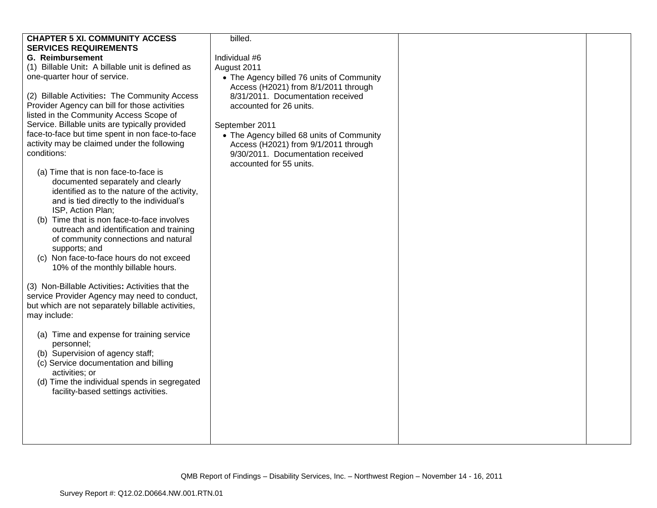| <b>CHAPTER 5 XI. COMMUNITY ACCESS</b>                                                                                                                                                                                                                                                                                                                                                                                                                                                                                                                                                                                                                                                                                                                                                                                               | billed.                                                                                                                                                                                                                                                                                                                  |  |
|-------------------------------------------------------------------------------------------------------------------------------------------------------------------------------------------------------------------------------------------------------------------------------------------------------------------------------------------------------------------------------------------------------------------------------------------------------------------------------------------------------------------------------------------------------------------------------------------------------------------------------------------------------------------------------------------------------------------------------------------------------------------------------------------------------------------------------------|--------------------------------------------------------------------------------------------------------------------------------------------------------------------------------------------------------------------------------------------------------------------------------------------------------------------------|--|
| <b>SERVICES REQUIREMENTS</b>                                                                                                                                                                                                                                                                                                                                                                                                                                                                                                                                                                                                                                                                                                                                                                                                        |                                                                                                                                                                                                                                                                                                                          |  |
| <b>G. Reimbursement</b>                                                                                                                                                                                                                                                                                                                                                                                                                                                                                                                                                                                                                                                                                                                                                                                                             | Individual #6                                                                                                                                                                                                                                                                                                            |  |
| (1) Billable Unit: A billable unit is defined as                                                                                                                                                                                                                                                                                                                                                                                                                                                                                                                                                                                                                                                                                                                                                                                    | August 2011                                                                                                                                                                                                                                                                                                              |  |
|                                                                                                                                                                                                                                                                                                                                                                                                                                                                                                                                                                                                                                                                                                                                                                                                                                     |                                                                                                                                                                                                                                                                                                                          |  |
| one-quarter hour of service.<br>(2) Billable Activities: The Community Access<br>Provider Agency can bill for those activities<br>listed in the Community Access Scope of<br>Service. Billable units are typically provided<br>face-to-face but time spent in non face-to-face<br>activity may be claimed under the following<br>conditions:<br>(a) Time that is non face-to-face is<br>documented separately and clearly<br>identified as to the nature of the activity,<br>and is tied directly to the individual's<br>ISP, Action Plan;<br>(b) Time that is non face-to-face involves<br>outreach and identification and training<br>of community connections and natural<br>supports; and<br>(c) Non face-to-face hours do not exceed<br>10% of the monthly billable hours.<br>(3) Non-Billable Activities: Activities that the | • The Agency billed 76 units of Community<br>Access (H2021) from 8/1/2011 through<br>8/31/2011. Documentation received<br>accounted for 26 units.<br>September 2011<br>• The Agency billed 68 units of Community<br>Access (H2021) from 9/1/2011 through<br>9/30/2011. Documentation received<br>accounted for 55 units. |  |
| service Provider Agency may need to conduct,                                                                                                                                                                                                                                                                                                                                                                                                                                                                                                                                                                                                                                                                                                                                                                                        |                                                                                                                                                                                                                                                                                                                          |  |
| but which are not separately billable activities,                                                                                                                                                                                                                                                                                                                                                                                                                                                                                                                                                                                                                                                                                                                                                                                   |                                                                                                                                                                                                                                                                                                                          |  |
| may include:                                                                                                                                                                                                                                                                                                                                                                                                                                                                                                                                                                                                                                                                                                                                                                                                                        |                                                                                                                                                                                                                                                                                                                          |  |
| (a) Time and expense for training service<br>personnel;<br>(b) Supervision of agency staff;<br>(c) Service documentation and billing<br>activities; or<br>(d) Time the individual spends in segregated<br>facility-based settings activities.                                                                                                                                                                                                                                                                                                                                                                                                                                                                                                                                                                                       |                                                                                                                                                                                                                                                                                                                          |  |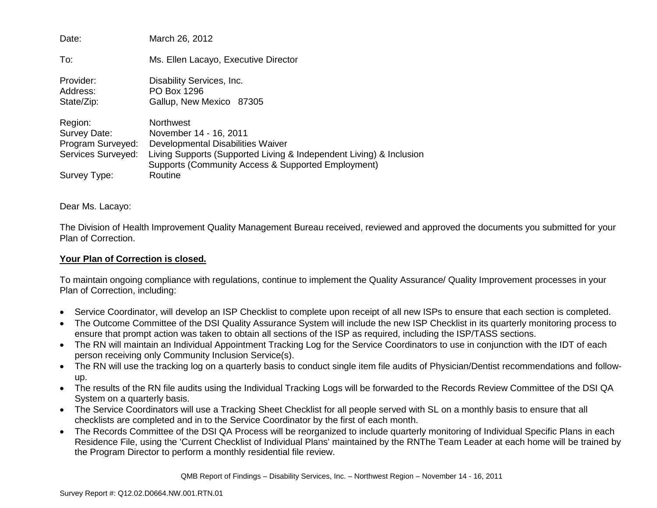| Date:                                                                              | March 26, 2012                                                                                                                                                                                                          |
|------------------------------------------------------------------------------------|-------------------------------------------------------------------------------------------------------------------------------------------------------------------------------------------------------------------------|
| To:                                                                                | Ms. Ellen Lacayo, Executive Director                                                                                                                                                                                    |
| Provider:<br>Address:<br>State/Zip:                                                | Disability Services, Inc.<br>PO Box 1296<br>Gallup, New Mexico 87305                                                                                                                                                    |
| Region:<br>Survey Date:<br>Program Surveyed:<br>Services Surveyed:<br>Survey Type: | <b>Northwest</b><br>November 14 - 16, 2011<br>Developmental Disabilities Waiver<br>Living Supports (Supported Living & Independent Living) & Inclusion<br>Supports (Community Access & Supported Employment)<br>Routine |

### Dear Ms. Lacayo:

The Division of Health Improvement Quality Management Bureau received, reviewed and approved the documents you submitted for your Plan of Correction.

### **Your Plan of Correction is closed.**

To maintain ongoing compliance with regulations, continue to implement the Quality Assurance/ Quality Improvement processes in your Plan of Correction, including:

- Service Coordinator, will develop an ISP Checklist to complete upon receipt of all new ISPs to ensure that each section is completed.
- The Outcome Committee of the DSI Quality Assurance System will include the new ISP Checklist in its quarterly monitoring process to ensure that prompt action was taken to obtain all sections of the ISP as required, including the ISP/TASS sections.
- The RN will maintain an Individual Appointment Tracking Log for the Service Coordinators to use in conjunction with the IDT of each person receiving only Community Inclusion Service(s).
- The RN will use the tracking log on a quarterly basis to conduct single item file audits of Physician/Dentist recommendations and followup.
- The results of the RN file audits using the Individual Tracking Logs will be forwarded to the Records Review Committee of the DSI QA System on a quarterly basis.
- The Service Coordinators will use a Tracking Sheet Checklist for all people served with SL on a monthly basis to ensure that all checklists are completed and in to the Service Coordinator by the first of each month.
- The Records Committee of the DSI QA Process will be reorganized to include quarterly monitoring of Individual Specific Plans in each Residence File, using the 'Current Checklist of Individual Plans' maintained by the RNThe Team Leader at each home will be trained by the Program Director to perform a monthly residential file review.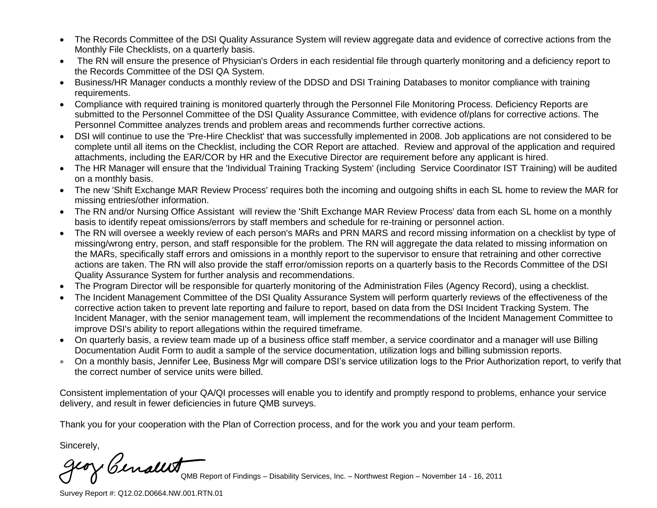- The Records Committee of the DSI Quality Assurance System will review aggregate data and evidence of corrective actions from the Monthly File Checklists, on a quarterly basis.
- The RN will ensure the presence of Physician's Orders in each residential file through quarterly monitoring and a deficiency report to the Records Committee of the DSI QA System.
- Business/HR Manager conducts a monthly review of the DDSD and DSI Training Databases to monitor compliance with training requirements.
- Compliance with required training is monitored quarterly through the Personnel File Monitoring Process. Deficiency Reports are submitted to the Personnel Committee of the DSI Quality Assurance Committee, with evidence of/plans for corrective actions. The Personnel Committee analyzes trends and problem areas and recommends further corrective actions.
- DSI will continue to use the 'Pre-Hire Checklist' that was successfully implemented in 2008. Job applications are not considered to be complete until all items on the Checklist, including the COR Report are attached. Review and approval of the application and required attachments, including the EAR/COR by HR and the Executive Director are requirement before any applicant is hired.
- The HR Manager will ensure that the 'Individual Training Tracking System' (including Service Coordinator IST Training) will be audited on a monthly basis.
- The new 'Shift Exchange MAR Review Process' requires both the incoming and outgoing shifts in each SL home to review the MAR for missing entries/other information.
- The RN and/or Nursing Office Assistant will review the 'Shift Exchange MAR Review Process' data from each SL home on a monthly basis to identify repeat omissions/errors by staff members and schedule for re-training or personnel action.
- The RN will oversee a weekly review of each person's MARs and PRN MARS and record missing information on a checklist by type of missing/wrong entry, person, and staff responsible for the problem. The RN will aggregate the data related to missing information on the MARs, specifically staff errors and omissions in a monthly report to the supervisor to ensure that retraining and other corrective actions are taken. The RN will also provide the staff error/omission reports on a quarterly basis to the Records Committee of the DSI Quality Assurance System for further analysis and recommendations.
- The Program Director will be responsible for quarterly monitoring of the Administration Files (Agency Record), using a checklist.
- The Incident Management Committee of the DSI Quality Assurance System will perform quarterly reviews of the effectiveness of the corrective action taken to prevent late reporting and failure to report, based on data from the DSI Incident Tracking System. The Incident Manager, with the senior management team, will implement the recommendations of the Incident Management Committee to improve DSI's ability to report allegations within the required timeframe.
- On quarterly basis, a review team made up of a business office staff member, a service coordinator and a manager will use Billing Documentation Audit Form to audit a sample of the service documentation, utilization logs and billing submission reports.
- On a monthly basis, Jennifer Lee, Business Mgr will compare DSI's service utilization logs to the Prior Authorization report, to verify that the correct number of service units were billed.

Consistent implementation of your QA/QI processes will enable you to identify and promptly respond to problems, enhance your service delivery, and result in fewer deficiencies in future QMB surveys.

Thank you for your cooperation with the Plan of Correction process, and for the work you and your team perform.

Sincerely,

Cenally

QMB Report of Findings – Disability Services, Inc. – Northwest Region – November 14 - 16, 2011

Survey Report #: Q12.02.D0664.NW.001.RTN.01